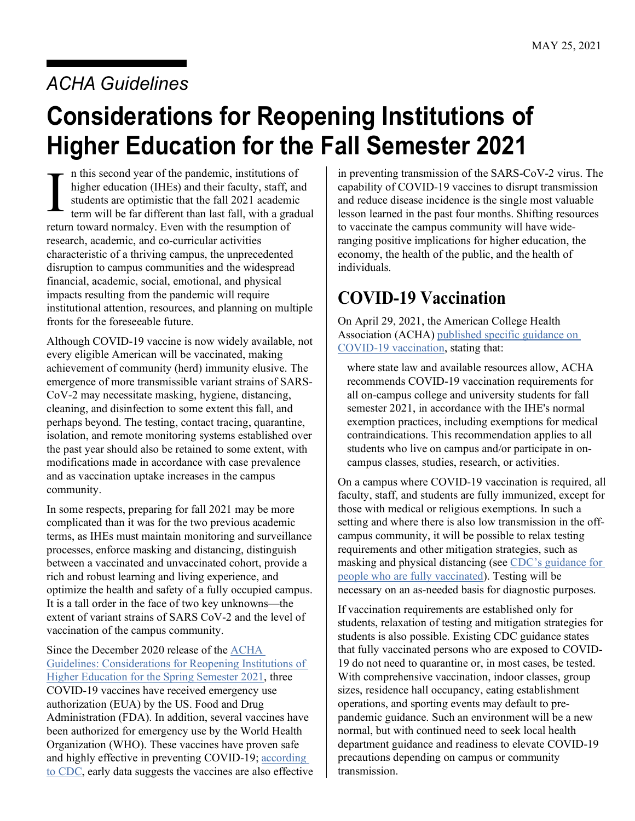## *ACHA Guidelines*

# **Considerations for Reopening Institutions of Higher Education for the Fall Semester 2021**

n this second year of the pandemic, institutions of higher education (IHEs) and their faculty, staff, and students are optimistic that the fall 2021 academic term will be far different than last fall, with a gradual return toward normalcy. Even with the resumption of research, academic, and co-curricular activities characteristic of a thriving campus, the unprecedented disruption to campus communities and the widespread financial, academic, social, emotional, and physical impacts resulting from the pandemic will require institutional attention, resources, and planning on multiple fronts for the foreseeable future. I

Although COVID-19 vaccine is now widely available, not every eligible American will be vaccinated, making achievement of community (herd) immunity elusive. The emergence of more transmissible variant strains of SARS-CoV-2 may necessitate masking, hygiene, distancing, cleaning, and disinfection to some extent this fall, and perhaps beyond. The testing, contact tracing, quarantine, isolation, and remote monitoring systems established over the past year should also be retained to some extent, with modifications made in accordance with case prevalence and as vaccination uptake increases in the campus community.

In some respects, preparing for fall 2021 may be more complicated than it was for the two previous academic terms, as IHEs must maintain monitoring and surveillance processes, enforce masking and distancing, distinguish between a vaccinated and unvaccinated cohort, provide a rich and robust learning and living experience, and optimize the health and safety of a fully occupied campus. It is a tall order in the face of two key unknowns—the extent of variant strains of SARS CoV-2 and the level of vaccination of the campus community.

Since the December 2020 release of the [ACHA](https://www.acha.org/documents/resources/guidelines/ACHA_Considerations_for_Reopening_IHEs_for_Spring_2021.pdf)  [Guidelines: Considerations for Reopening Institutions of](https://www.acha.org/documents/resources/guidelines/ACHA_Considerations_for_Reopening_IHEs_for_Spring_2021.pdf)  [Higher Education for the Spring Semester 2021,](https://www.acha.org/documents/resources/guidelines/ACHA_Considerations_for_Reopening_IHEs_for_Spring_2021.pdf) three COVID-19 vaccines have received emergency use authorization (EUA) by the US. Food and Drug Administration (FDA). In addition, several vaccines have been authorized for emergency use by the World Health Organization (WHO). These vaccines have proven safe and highly effective in preventing COVID-19; according [to CDC,](https://www.cdc.gov/coronavirus/2019-ncov/vaccines/keythingstoknow.html) early data suggests the vaccines are also effective in preventing transmission of the SARS-CoV-2 virus. The capability of COVID-19 vaccines to disrupt transmission and reduce disease incidence is the single most valuable lesson learned in the past four months. Shifting resources to vaccinate the campus community will have wideranging positive implications for higher education, the economy, the health of the public, and the health of individuals.

### **COVID-19 Vaccination**

On April 29, 2021, the American College Health Association (ACHA[\) published specific guidance on](https://www.acha.org/ACHA/About/ACHA_News/ACHA_Recommends_COVID-19_Vaccination_Requirements_for_Fall_2021.aspx)  [COVID-19 vaccination,](https://www.acha.org/ACHA/About/ACHA_News/ACHA_Recommends_COVID-19_Vaccination_Requirements_for_Fall_2021.aspx) stating that:

where state law and available resources allow, ACHA recommends COVID-19 vaccination requirements for all on-campus college and university students for fall semester 2021, in accordance with the IHE's normal exemption practices, including exemptions for medical contraindications. This recommendation applies to all students who live on campus and/or participate in oncampus classes, studies, research, or activities.

On a campus where COVID-19 vaccination is required, all faculty, staff, and students are fully immunized, except for those with medical or religious exemptions. In such a setting and where there is also low transmission in the offcampus community, it will be possible to relax testing requirements and other mitigation strategies, such as masking and physical distancing (see [CDC's guidance for](https://www.cdc.gov/coronavirus/2019-ncov/vaccines/fully-vaccinated-guidance.html)  [people who are fully vaccinated\)](https://www.cdc.gov/coronavirus/2019-ncov/vaccines/fully-vaccinated-guidance.html). Testing will be necessary on an as-needed basis for diagnostic purposes.

If vaccination requirements are established only for students, relaxation of testing and mitigation strategies for students is also possible. Existing CDC guidance states that fully vaccinated persons who are exposed to COVID-19 [do not need to quarantine or, in most cases, be tested.](https://www.cdc.gov/coronavirus/2019-ncov/vaccines/fully-vaccinated-guidance.html#anchor_1617376555813) With comprehensive vaccination, indoor classes, group sizes, residence hall occupancy, eating establishment operations, and sporting events may default to prepandemic guidance. Such an environment will be a new normal, but with continued need to seek local health department guidance and readiness to elevate COVID-19 precautions depending on campus or community transmission.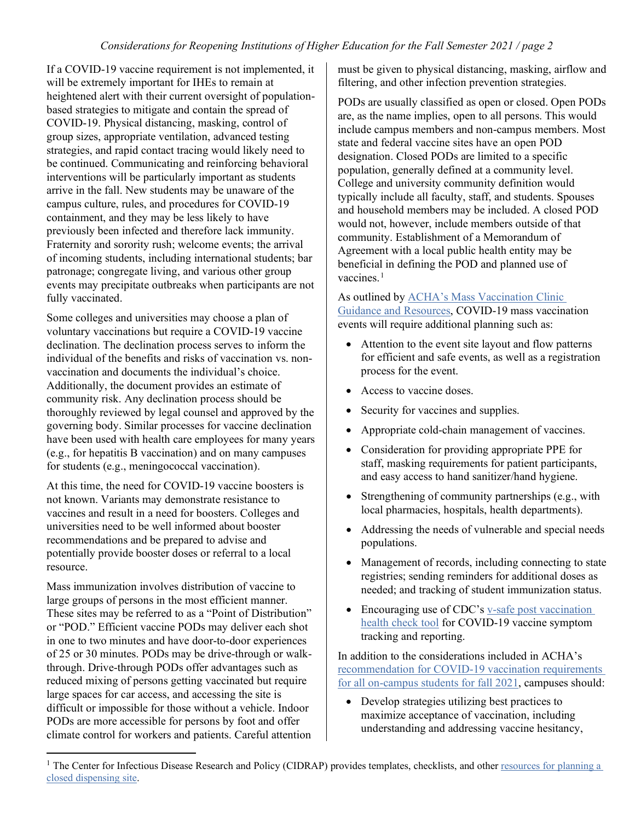If a COVID-19 vaccine requirement is not implemented, it will be extremely important for IHEs to remain at heightened alert with their current oversight of populationbased strategies to mitigate and contain the spread of COVID-19. Physical distancing, masking, control of group sizes, appropriate ventilation, advanced testing strategies, and rapid contact tracing would likely need to be continued. Communicating and reinforcing behavioral interventions will be particularly important as students arrive in the fall. New students may be unaware of the campus culture, rules, and procedures for COVID-19 containment, and they may be less likely to have previously been infected and therefore lack immunity. Fraternity and sorority rush; welcome events; the arrival of incoming students, including international students; bar patronage; congregate living, and various other group events may precipitate outbreaks when participants are not fully vaccinated.

Some colleges and universities may choose a plan of voluntary vaccinations but require a COVID-19 vaccine declination. The declination process serves to inform the individual of the benefits and risks of vaccination vs. nonvaccination and documents the individual's choice. Additionally, the document provides an estimate of community risk. Any declination process should be thoroughly reviewed by legal counsel and approved by the governing body. Similar processes for vaccine declination have been used with health care employees for many years (e.g., for hepatitis B vaccination) and on many campuses for students (e.g., meningococcal vaccination).

At this time, the need for COVID-19 vaccine boosters is not known. Variants may demonstrate resistance to vaccines and result in a need for boosters. Colleges and universities need to be well informed about booster recommendations and be prepared to advise and potentially provide booster doses or referral to a local resource.

Mass immunization involves distribution of vaccine to large groups of persons in the most efficient manner. These sites may be referred to as a "Point of Distribution" or "POD." Efficient vaccine PODs may deliver each shot in one to two minutes and have door-to-door experiences of 25 or 30 minutes. PODs may be drive-through or walkthrough. Drive-through PODs offer advantages such as reduced mixing of persons getting vaccinated but require large spaces for car access, and accessing the site is difficult or impossible for those without a vehicle. Indoor PODs are more accessible for persons by foot and offer climate control for workers and patients. Careful attention must be given to physical distancing, masking, airflow and filtering, and other infection prevention strategies.

PODs are usually classified as open or closed. Open PODs are, as the name implies, open to all persons. This would include campus members and non-campus members. Most state and federal vaccine sites have an open POD designation. Closed PODs are limited to a specific population, generally defined at a community level. College and university community definition would typically include all faculty, staff, and students. Spouses and household members may be included. A closed POD would not, however, include members outside of that community. Establishment of a Memorandum of Agreement with a local public health entity may be beneficial in defining the POD and planned use of vaccines.<sup>[1](#page-1-0)</sup>

As outlined by ACHA's [Mass Vaccination Clinic](https://www.acha.org/ACHA/Resources/Topics/Mass_Vaccination_Clinic_Guidance_and_Resources.aspx)  [Guidance and Resources,](https://www.acha.org/ACHA/Resources/Topics/Mass_Vaccination_Clinic_Guidance_and_Resources.aspx) COVID-19 mass vaccination events will require additional planning such as:

- Attention to the event site layout and flow patterns for efficient and safe events, as well as a registration process for the event.
- Access to vaccine doses.
- Security for vaccines and supplies.
- Appropriate cold-chain management of vaccines.
- Consideration for providing appropriate PPE for staff, masking requirements for patient participants, and easy access to hand sanitizer/hand hygiene.
- Strengthening of community partnerships (e.g., with local pharmacies, hospitals, health departments).
- Addressing the needs of vulnerable and special needs populations.
- Management of records, including connecting to state registries; sending reminders for additional doses as needed; and tracking of student immunization status.
- Encouraging use of CDC's v-safe post vaccination [health check tool](https://www.cdc.gov/coronavirus/2019-ncov/vaccines/safety/vsafe.html) for COVID-19 vaccine symptom tracking and reporting.

In addition to the considerations included in ACHA's [recommendation for COVID-19 vaccination requirements](https://www.acha.org/ACHA/About/ACHA_News/ACHA_Recommends_COVID-19_Vaccination_Requirements_for_Fall_2021.aspx)  [for all on-campus students](https://www.acha.org/ACHA/About/ACHA_News/ACHA_Recommends_COVID-19_Vaccination_Requirements_for_Fall_2021.aspx) for fall 2021, campuses should:

• Develop strategies utilizing best practices to maximize acceptance of vaccination, including understanding and addressing vaccine hesitancy,

<span id="page-1-0"></span><sup>&</sup>lt;sup>1</sup> The Center for Infectious Disease Research and Policy (CIDRAP) provides templates, checklists, and other [resources for](https://www.cidrap.umn.edu/practice/guide-provides-resources-and-training-planning-closed-dispensing-sites) planning a [closed dispensing site.](https://www.cidrap.umn.edu/practice/guide-provides-resources-and-training-planning-closed-dispensing-sites)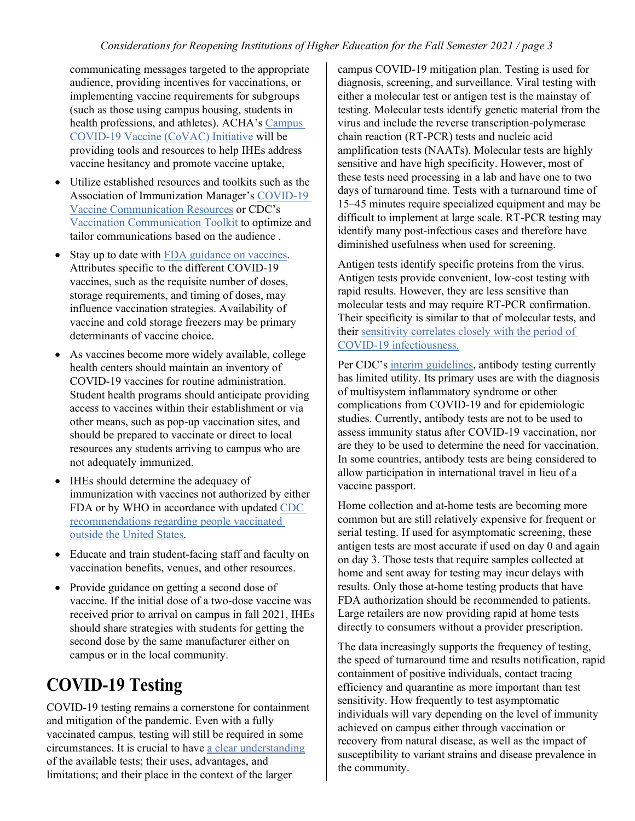communicating messages targeted to the appropriate audience, providing incentives for vaccinations, or implementing vaccine requirements for subgroups (such as those using campus housing, students in health professions, and athletes). ACHA's Campus [COVID-19 Vaccine \(CoVAC\) Initiative](https://www.acha.org/ACHA/Resources/COVID-19_Novel_Coronavirus/Campus_COVID-19_Vaccine_Initiative/ACHA/Resources/Topics/CoVAC.aspx) will be providing tools and resources to help IHEs address vaccine hesitancy and promote vaccine uptake,

- Utilize established resources and toolkits such as the Association of Immunization Manager's [COVID-19](http://bit.ly/AIMCOVIDResourceGuide)  [Vaccine Communication Resources](http://bit.ly/AIMCOVIDResourceGuide) or CDC's [Vaccination Communication Toolkit](https://www.cdc.gov/vaccines/covid-19/health-systems-communication-toolkit.html) to optimize and tailor communications based on the audience .
- Stay up to date with [FDA guidance on vaccines.](https://www.fda.gov/emergency-preparedness-and-response/coronavirus-disease-2019-covid-19/covid-19-vaccines) Attributes specific to the different COVID-19 vaccines, such as the requisite number of doses, storage requirements, and timing of doses, may influence vaccination strategies. Availability of vaccine and cold storage freezers may be primary determinants of vaccine choice.
- As vaccines become more widely available, college health centers should maintain an inventory of COVID-19 vaccines for routine administration. Student health programs should anticipate providing access to vaccines within their establishment or via other means, such as pop-up vaccination sites, and should be prepared to vaccinate or direct to local resources any students arriving to campus who are not adequately immunized.
- IHEs should determine the adequacy of immunization with vaccines not authorized by either FDA or by WHO in accordance with updated [CDC](https://www.cdc.gov/vaccines/covid-19/info-by-product/clinical-considerations.html#people-vaccinated-outside-us)  [recommendations regarding people vaccinated](https://www.cdc.gov/vaccines/covid-19/info-by-product/clinical-considerations.html#people-vaccinated-outside-us)  [outside the United States.](https://www.cdc.gov/vaccines/covid-19/info-by-product/clinical-considerations.html#people-vaccinated-outside-us)
- Educate and train student-facing staff and faculty on vaccination benefits, venues, and other resources.
- Provide guidance on getting a second dose of vaccine. If the initial dose of a two-dose vaccine was received prior to arrival on campus in fall 2021, IHEs should share strategies with students for getting the second dose by the same manufacturer either on campus or in the local community.

## **COVID-19 Testing**

COVID-19 testing remains a cornerstone for containment and mitigation of the pandemic. Even with a fully vaccinated campus, testing will still be required in some circumstances. It is crucial to have [a clear understanding](https://www.fda.gov/consumers/consumer-updates/coronavirus-disease-2019-testing-basics) of the available tests; their uses, advantages, and limitations; and their place in the context of the larger

campus COVID-19 mitigation plan. Testing is used for diagnosis, screening, and surveillance. Viral testing with either a molecular test or antigen test is the mainstay of testing. Molecular tests identify genetic material from the virus and include the reverse transcription-polymerase chain reaction (RT-PCR) tests and nucleic acid amplification tests (NAATs). Molecular tests are highly sensitive and have high specificity. However, most of these tests need processing in a lab and have one to two days of turnaround time. Tests with a turnaround time of 15–45 minutes require specialized equipment and may be difficult to implement at large scale. RT-PCR testing may identify many post-infectious cases and therefore have diminished usefulness when used for screening.

Antigen tests identify specific proteins from the virus. Antigen tests provide convenient, low-cost testing with rapid results. However, they are less sensitive than molecular tests and may require RT-PCR confirmation. Their specificity is similar to that of molecular tests, and their [sensitivity correlates closely with the period of](https://www.medrxiv.org/content/10.1101/2021.03.19.21253964v2.full)  [COVID-19 infectiousness.](https://www.medrxiv.org/content/10.1101/2021.03.19.21253964v2.full)

Per CDC's [interim guidelines,](https://www.cdc.gov/coronavirus/2019-ncov/lab/resources/antibody-tests-guidelines.html) antibody testing currently has limited utility. Its primary uses are with the diagnosis of multisystem inflammatory syndrome or other complications from COVID-19 and for epidemiologic studies. Currently, antibody tests are not to be used to assess immunity status after COVID-19 vaccination, nor are they to be used to determine the need for vaccination. In some countries, antibody tests are being considered to allow participation in international travel in lieu of a vaccine passport.

Home collection and at-home tests are becoming more common but are still relatively expensive for frequent or serial testing. If used for asymptomatic screening, these antigen tests are most accurate if used on day 0 and again on day 3. Those tests that require samples collected at home and sent away for testing may incur delays with results. Only those at-home testing products that have FDA authorization should be recommended to patients. Large retailers are now providing rapid at home tests directly to consumers without a provider prescription.

The data increasingly supports the frequency of testing, the speed of turnaround time and results notification, rapid containment of positive individuals, contact tracing efficiency and quarantine as more important than test sensitivity. How frequently to test asymptomatic individuals will vary depending on the level of immunity achieved on campus either through vaccination or recovery from natural disease, as well as the impact of susceptibility to variant strains and disease prevalence in the community.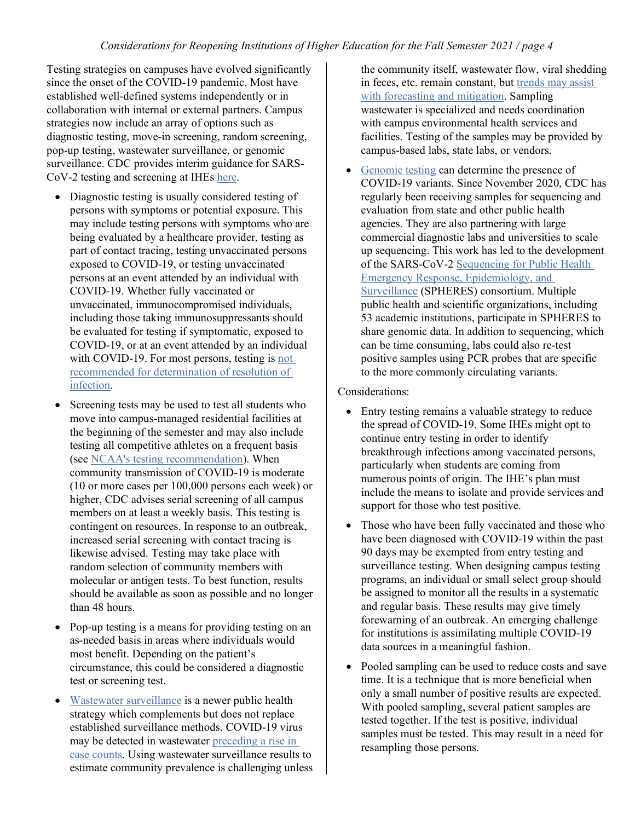Testing strategies on campuses have evolved significantly since the onset of the COVID-19 pandemic. Most have established well-defined systems independently or in collaboration with internal or external partners. Campus strategies now include an array of options such as diagnostic testing, move-in screening, random screening, pop-up testing, wastewater surveillance, or genomic surveillance. CDC provides interim guidance for SARS-CoV-2 testing and screening at IHEs [here.](https://www.cdc.gov/coronavirus/2019-ncov/community/colleges-universities/ihe-testing.html)

- Diagnostic testing is usually considered testing of persons with symptoms or potential exposure. This may include testing persons with symptoms who are being evaluated by a healthcare provider, testing as part of contact tracing, testing unvaccinated persons exposed to COVID-19, or testing unvaccinated persons at an event attended by an individual with COVID-19. Whether fully vaccinated or unvaccinated, immunocompromised individuals, including those taking immunosuppressants should be evaluated for testing if symptomatic, exposed to COVID-19, or at an event attended by an individual with COVID-19. For most persons, testing is [not](https://www.cdc.gov/coronavirus/2019-ncov/hcp/duration-isolation.html?CDC_AA_refVal=https%3A%2F%2Fwww.cdc.gov%2Fcoronavirus%2F2019-ncov%2Fcommunity%2Fstrategy-discontinue-isolation.html)  [recommended for determination of resolution of](https://www.cdc.gov/coronavirus/2019-ncov/hcp/duration-isolation.html?CDC_AA_refVal=https%3A%2F%2Fwww.cdc.gov%2Fcoronavirus%2F2019-ncov%2Fcommunity%2Fstrategy-discontinue-isolation.html)  [infection.](https://www.cdc.gov/coronavirus/2019-ncov/hcp/duration-isolation.html?CDC_AA_refVal=https%3A%2F%2Fwww.cdc.gov%2Fcoronavirus%2F2019-ncov%2Fcommunity%2Fstrategy-discontinue-isolation.html)
- Screening tests may be used to test all students who move into campus-managed residential facilities at the beginning of the semester and may also include testing all competitive athletes on a frequent basis (see [NCAA's testing recommendation\)](https://www.ncaa.org/sport-science-institute/faq-principles-resocialization-collegiate-basketball-and-testing-considerations-all-sports). When community transmission of COVID-19 is moderate (10 or more cases per 100,000 persons each week) or higher, CDC advises serial screening of all campus members on at least a weekly basis. This testing is contingent on resources. In response to an outbreak, increased serial screening with contact tracing is likewise advised. Testing may take place with random selection of community members with molecular or antigen tests. To best function, results should be available as soon as possible and no longer than 48 hours.
- Pop-up testing is a means for providing testing on an as-needed basis in areas where individuals would most benefit. Depending on the patient's circumstance, this could be considered a diagnostic test or screening test.
- [Wastewater surveillance](https://www.cdc.gov/coronavirus/2019-ncov/cases-updates/wastewater-surveillance.html) is a newer public health strategy which complements but does not replace established surveillance methods. COVID-19 virus may be detected in wastewater [preceding a rise in](https://www.ncbi.nlm.nih.gov/pmc/articles/PMC7968922/)  [case counts.](https://www.ncbi.nlm.nih.gov/pmc/articles/PMC7968922/) Using wastewater surveillance results to estimate community prevalence is challenging unless

the community itself, wastewater flow, viral shedding in feces, etc. remain constant, but [trends may assist](https://www.ncbi.nlm.nih.gov/pmc/articles/PMC7291992/)  [with forecasting and mitigation.](https://www.ncbi.nlm.nih.gov/pmc/articles/PMC7291992/) Sampling wastewater is specialized and needs coordination with campus environmental health services and facilities. Testing of the samples may be provided by campus-based labs, state labs, or vendors.

• [Genomic testing](https://www.cdc.gov/coronavirus/2019-ncov/cases-updates/variant-surveillance.html) can determine the presence of COVID-19 variants. Since November 2020, CDC has regularly been receiving samples for sequencing and evaluation from state and other public health agencies. They are also partnering with large commercial diagnostic labs and universities to scale up sequencing. This work has led to the development of the SARS-CoV-2 [Sequencing for Public Health](https://www.cdc.gov/coronavirus/2019-ncov/covid-data/spheres.html)  [Emergency Response, Epidemiology, and](https://www.cdc.gov/coronavirus/2019-ncov/covid-data/spheres.html)  [Surveillance](https://www.cdc.gov/coronavirus/2019-ncov/covid-data/spheres.html) (SPHERES) consortium. Multiple public health and scientific organizations, including 53 academic institutions, participate in SPHERES to share genomic data. In addition to sequencing, which can be time consuming, labs could also re-test positive samples using PCR probes that are specific to the more commonly circulating variants.

Considerations:

- Entry testing remains a valuable strategy to reduce the spread of COVID-19. Some IHEs might opt to continue entry testing in order to identify breakthrough infections among vaccinated persons, particularly when students are coming from numerous points of origin. The IHE's plan must include the means to isolate and provide services and support for those who test positive.
- Those who have been fully vaccinated and those who have been diagnosed with COVID-19 within the past 90 days may be exempted from entry testing and surveillance testing. When designing campus testing programs, an individual or small select group should be assigned to monitor all the results in a systematic and regular basis. These results may give timely forewarning of an outbreak. An emerging challenge for institutions is assimilating multiple COVID-19 data sources in a meaningful fashion.
- Pooled sampling can be used to reduce costs and save time. It is a technique that is more beneficial when only a small number of positive results are expected. With pooled sampling, several patient samples are tested together. If the test is positive, individual samples must be tested. This may result in a need for resampling those persons.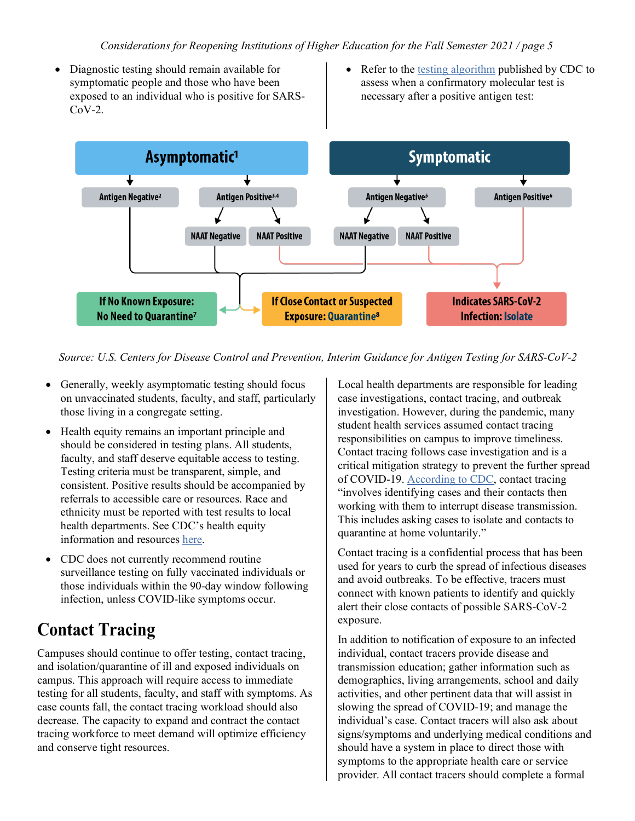- Diagnostic testing should remain available for symptomatic people and those who have been exposed to an individual who is positive for SARS- $CoV-2$ .
- Refer to the [testing algorithm](https://www.cdc.gov/coronavirus/2019-ncov/lab/resources/antigen-tests-guidelines.html) published by CDC to assess when a confirmatory molecular test is necessary after a positive antigen test:



*Source: U.S. Centers for Disease Control and Prevention, Interim Guidance for Antigen Testing for SARS-CoV-2*

- Generally, weekly asymptomatic testing should focus on unvaccinated students, faculty, and staff, particularly those living in a congregate setting.
- Health equity remains an important principle and should be considered in testing plans. All students, faculty, and staff deserve equitable access to testing. Testing criteria must be transparent, simple, and consistent. Positive results should be accompanied by referrals to accessible care or resources. Race and ethnicity must be reported with test results to local health departments. See CDC's health equity information and resources [here.](https://www.cdc.gov/coronavirus/2019-ncov/community/health-equity/index.html)
- CDC does not currently recommend routine surveillance testing on fully vaccinated individuals or those individuals within the 90-day window following infection, unless COVID-like symptoms occur.

### **Contact Tracing**

Campuses should continue to offer testing, contact tracing, and isolation/quarantine of ill and exposed individuals on campus. This approach will require access to immediate testing for all students, faculty, and staff with symptoms. As case counts fall, the contact tracing workload should also decrease. The capacity to expand and contract the contact tracing workforce to meet demand will optimize efficiency and conserve tight resources.

Local health departments are responsible for leading case investigations, contact tracing, and outbreak investigation. However, during the pandemic, many student health services assumed contact tracing responsibilities on campus to improve timeliness. Contact tracing follows case investigation and is a critical mitigation strategy to prevent the further spread of COVID-19[. According to CDC,](https://www.cdc.gov/coronavirus/2019-ncov/downloads/php/contact-tracing-CDC-role-and-approach.pdf) contact tracing "involves identifying cases and their contacts then working with them to interrupt disease transmission. This includes asking cases to isolate and contacts to quarantine at home voluntarily."

Contact tracing is a confidential process that has been used for years to curb the spread of infectious diseases and avoid outbreaks. To be effective, tracers must connect with known patients to identify and quickly alert their close contacts of possible SARS-CoV-2 exposure.

In addition to notification of exposure to an infected individual, contact tracers provide disease and transmission education; gather information such as demographics, living arrangements, school and daily activities, and other pertinent data that will assist in slowing the spread of COVID-19; and manage the individual's case. Contact tracers will also ask about signs/symptoms and underlying medical conditions and should have a system in place to direct those with symptoms to the appropriate health care or service provider. All contact tracers should complete a formal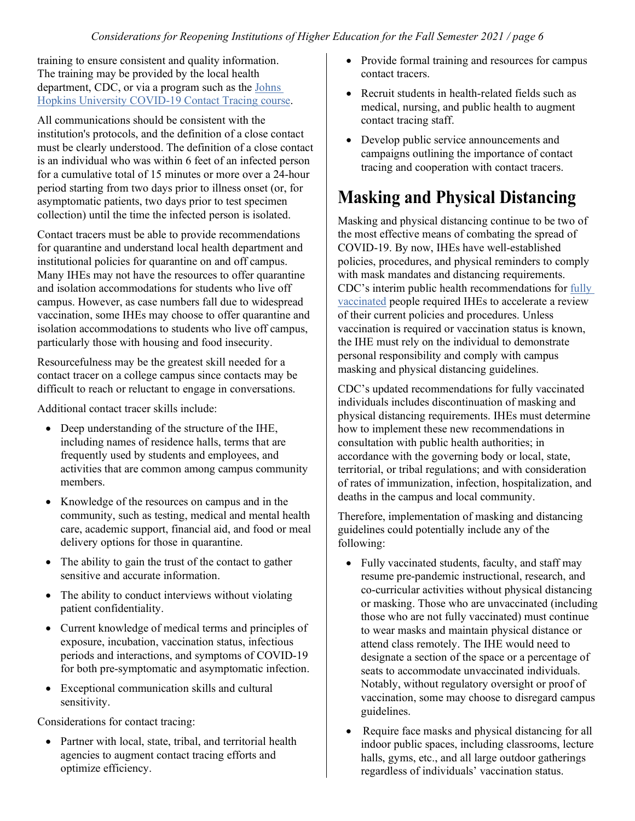training to ensure consistent and quality information. The training may be provided by the local health department, CDC, or via a program such as the [Johns](https://www.coursera.org/learn/covid-19-contact-tracing)  [Hopkins University COVID-19 Contact Tracing course.](https://www.coursera.org/learn/covid-19-contact-tracing)

All communications should be consistent with the institution's protocols, and the definition of a close contact must be clearly understood. The definition of a close contact is an individual who was within 6 feet of an infected person for a cumulative total of 15 minutes or more over a 24-hour period starting from two days prior to illness onset (or, for asymptomatic patients, two days prior to test specimen collection) until the time the infected person is isolated.

Contact tracers must be able to provide recommendations for quarantine and understand local health department and institutional policies for quarantine on and off campus. Many IHEs may not have the resources to offer quarantine and isolation accommodations for students who live off campus. However, as case numbers fall due to widespread vaccination, some IHEs may choose to offer quarantine and isolation accommodations to students who live off campus, particularly those with housing and food insecurity.

Resourcefulness may be the greatest skill needed for a contact tracer on a college campus since contacts may be difficult to reach or reluctant to engage in conversations.

Additional contact tracer skills include:

- Deep understanding of the structure of the IHE, including names of residence halls, terms that are frequently used by students and employees, and activities that are common among campus community members.
- Knowledge of the resources on campus and in the community, such as testing, medical and mental health care, academic support, financial aid, and food or meal delivery options for those in quarantine.
- The ability to gain the trust of the contact to gather sensitive and accurate information.
- The ability to conduct interviews without violating patient confidentiality.
- Current knowledge of medical terms and principles of exposure, incubation, vaccination status, infectious periods and interactions, and symptoms of COVID-19 for both pre-symptomatic and asymptomatic infection.
- Exceptional communication skills and cultural sensitivity.

Considerations for contact tracing:

• Partner with local, state, tribal, and territorial health agencies to augment contact tracing efforts and optimize efficiency.

- Provide formal training and resources for campus contact tracers.
- Recruit students in health-related fields such as medical, nursing, and public health to augment contact tracing staff.
- Develop public service announcements and campaigns outlining the importance of contact tracing and cooperation with contact tracers.

## **Masking and Physical Distancing**

Masking and physical distancing continue to be two of the most effective means of combating the spread of COVID-19. By now, IHEs have well-established policies, procedures, and physical reminders to comply with mask mandates and distancing requirements. CDC's interim public health recommendations fo[r](https://www.cdc.gov/coronavirus/2019-ncov/vaccines/fully-vaccinated.html) [fully](https://www.cdc.gov/coronavirus/2019-ncov/vaccines/fully-vaccinated.html)  [vaccinated](https://www.cdc.gov/coronavirus/2019-ncov/vaccines/fully-vaccinated.html) people required IHEs to accelerate a review of their current policies and procedures. Unless vaccination is required or vaccination status is known, the IHE must rely on the individual to demonstrate personal responsibility and comply with campus masking and physical distancing guidelines.

CDC's updated recommendations for fully vaccinated individuals includes discontinuation of masking and physical distancing requirements. IHEs must determine how to implement these new recommendations in consultation with public health authorities; in accordance with the governing body or local, state, territorial, or tribal regulations; and with consideration of rates of immunization, infection, hospitalization, and deaths in the campus and local community.

Therefore, implementation of masking and distancing guidelines could potentially include any of the following:

- Fully vaccinated students, faculty, and staff may resume pre-pandemic instructional, research, and co-curricular activities without physical distancing or masking. Those who are unvaccinated (including those who are not fully vaccinated) must continue to wear masks and maintain physical distance or attend class remotely. The IHE would need to designate a section of the space or a percentage of seats to accommodate unvaccinated individuals. Notably, without regulatory oversight or proof of vaccination, some may choose to disregard campus guidelines.
- Require face masks and physical distancing for all indoor public spaces, including classrooms, lecture halls, gyms, etc., and all large outdoor gatherings regardless of individuals' vaccination status.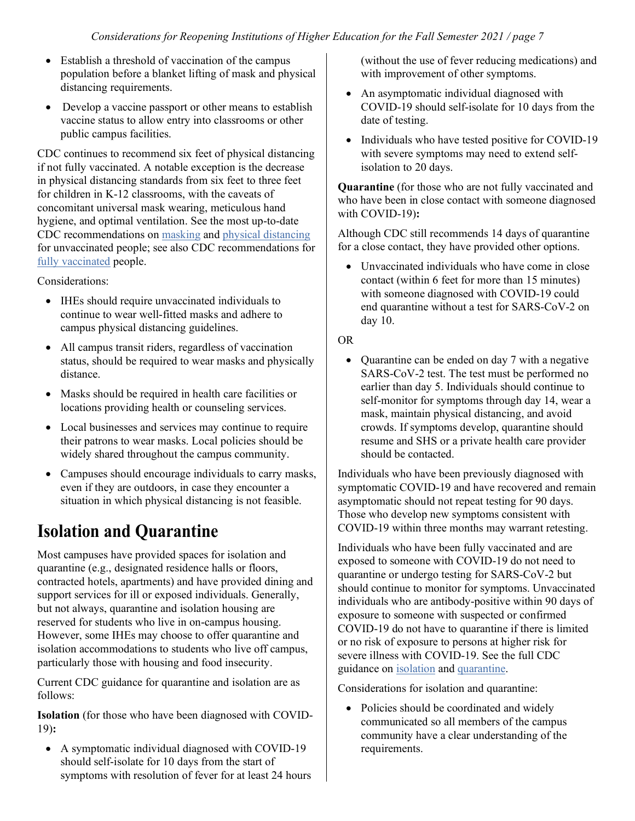- Establish a threshold of vaccination of the campus population before a blanket lifting of mask and physical distancing requirements.
- Develop a vaccine passport or other means to establish vaccine status to allow entry into classrooms or other public campus facilities.

CDC continues to recommend six feet of physical distancing if not fully vaccinated. A notable exception is the decrease in physical distancing standards from six feet to three feet for children in K-12 classrooms, with the caveats of concomitant universal mask wearing, meticulous hand hygiene, and optimal ventilation. See the most up-to-date CDC recommendations on [masking](https://www.cdc.gov/coronavirus/2019-ncov/prevent-getting-sick/about-face-coverings.html) an[d physical distancing](https://www.cdc.gov/coronavirus/2019-ncov/prevent-getting-sick/social-distancing.html) for unvaccinated people; see also CDC recommendations fo[r](https://www.cdc.gov/coronavirus/2019-ncov/vaccines/fully-vaccinated.html) [fully vaccinated](https://www.cdc.gov/coronavirus/2019-ncov/vaccines/fully-vaccinated.html) people.

Considerations:

- IHEs should require unvaccinated individuals to continue to wear well-fitted masks and adhere to campus physical distancing guidelines.
- All campus transit riders, regardless of vaccination status, should be required to wear masks and physically distance.
- Masks should be required in health care facilities or locations providing health or counseling services.
- Local businesses and services may continue to require their patrons to wear masks. Local policies should be widely shared throughout the campus community.
- Campuses should encourage individuals to carry masks, even if they are outdoors, in case they encounter a situation in which physical distancing is not feasible.

## **Isolation and Quarantine**

Most campuses have provided spaces for isolation and quarantine (e.g., designated residence halls or floors, contracted hotels, apartments) and have provided dining and support services for ill or exposed individuals. Generally, but not always, quarantine and isolation housing are reserved for students who live in on-campus housing. However, some IHEs may choose to offer quarantine and isolation accommodations to students who live off campus, particularly those with housing and food insecurity.

Current CDC guidance for quarantine and isolation are as follows:

**Isolation** (for those who have been diagnosed with COVID-19)**:**

• A symptomatic individual diagnosed with COVID-19 should self-isolate for 10 days from the start of symptoms with resolution of fever for at least 24 hours (without the use of fever reducing medications) and with improvement of other symptoms.

- An asymptomatic individual diagnosed with COVID-19 should self-isolate for 10 days from the date of testing.
- Individuals who have tested positive for COVID-19 with severe symptoms may need to extend selfisolation to 20 days.

**Quarantine** (for those who are not fully vaccinated and who have been in close contact with someone diagnosed with COVID-19)**:**

Although CDC still recommends 14 days of quarantine for a close contact, they have provided other options.

• Unvaccinated individuals who have come in close contact (within 6 feet for more than 15 minutes) with someone diagnosed with COVID-19 could end quarantine without a test for SARS-CoV-2 on day 10.

#### OR

• Quarantine can be ended on day 7 with a negative SARS-CoV-2 test. The test must be performed no earlier than day 5. Individuals should continue to self-monitor for symptoms through day 14, wear a mask, maintain physical distancing, and avoid crowds. If symptoms develop, quarantine should resume and SHS or a private health care provider should be contacted.

Individuals who have been previously diagnosed with symptomatic COVID-19 and have recovered and remain asymptomatic should not repeat testing for 90 days. Those who develop new symptoms consistent with COVID-19 within three months may warrant retesting.

Individuals who have been fully vaccinated and are exposed to someone with COVID-19 do not need to quarantine or undergo testing for SARS-CoV-2 but should continue to monitor for symptoms. Unvaccinated individuals who are antibody-positive within 90 days of exposure to someone with suspected or confirmed COVID-19 do not have to quarantine if there is limited or no risk of exposure to persons at higher risk for severe illness with COVID-19. See the full CDC guidance on [isolation](https://www.cdc.gov/coronavirus/2019-ncov/if-you-are-sick/isolation.html) and [quarantine.](https://www.cdc.gov/coronavirus/2019-ncov/if-you-are-sick/quarantine.html)

Considerations for isolation and quarantine:

• Policies should be coordinated and widely communicated so all members of the campus community have a clear understanding of the requirements.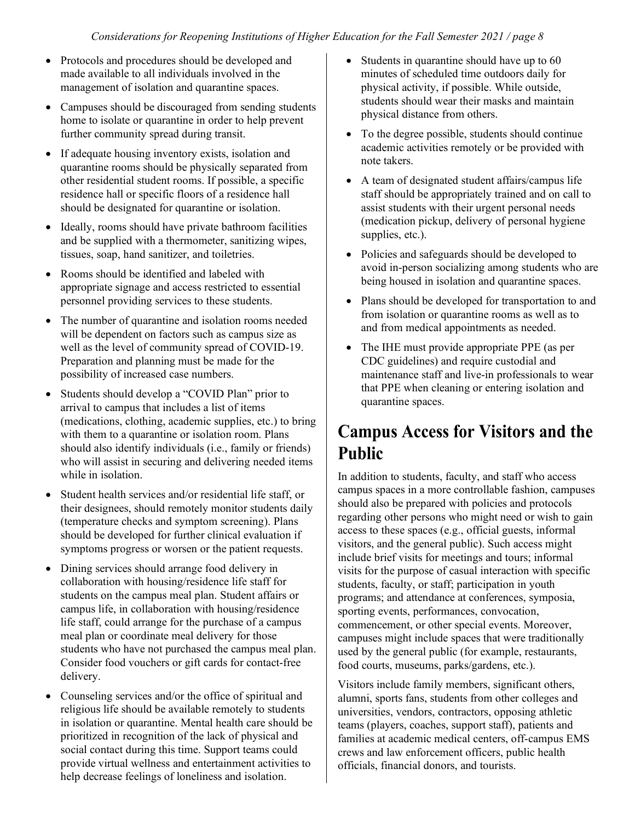- Protocols and procedures should be developed and made available to all individuals involved in the management of isolation and quarantine spaces.
- Campuses should be discouraged from sending students home to isolate or quarantine in order to help prevent further community spread during transit.
- If adequate housing inventory exists, isolation and quarantine rooms should be physically separated from other residential student rooms. If possible, a specific residence hall or specific floors of a residence hall should be designated for quarantine or isolation.
- Ideally, rooms should have private bathroom facilities and be supplied with a thermometer, sanitizing wipes, tissues, soap, hand sanitizer, and toiletries.
- Rooms should be identified and labeled with appropriate signage and access restricted to essential personnel providing services to these students.
- The number of quarantine and isolation rooms needed will be dependent on factors such as campus size as well as the level of community spread of COVID-19. Preparation and planning must be made for the possibility of increased case numbers.
- Students should develop a "COVID Plan" prior to arrival to campus that includes a list of items (medications, clothing, academic supplies, etc.) to bring with them to a quarantine or isolation room. Plans should also identify individuals (i.e., family or friends) who will assist in securing and delivering needed items while in isolation.
- Student health services and/or residential life staff, or their designees, should remotely monitor students daily (temperature checks and symptom screening). Plans should be developed for further clinical evaluation if symptoms progress or worsen or the patient requests.
- Dining services should arrange food delivery in collaboration with housing/residence life staff for students on the campus meal plan. Student affairs or campus life, in collaboration with housing/residence life staff, could arrange for the purchase of a campus meal plan or coordinate meal delivery for those students who have not purchased the campus meal plan. Consider food vouchers or gift cards for contact-free delivery.
- Counseling services and/or the office of spiritual and religious life should be available remotely to students in isolation or quarantine. Mental health care should be prioritized in recognition of the lack of physical and social contact during this time. Support teams could provide virtual wellness and entertainment activities to help decrease feelings of loneliness and isolation.
- Students in quarantine should have up to 60 minutes of scheduled time outdoors daily for physical activity, if possible. While outside, students should wear their masks and maintain physical distance from others.
- To the degree possible, students should continue academic activities remotely or be provided with note takers.
- A team of designated student affairs/campus life staff should be appropriately trained and on call to assist students with their urgent personal needs (medication pickup, delivery of personal hygiene supplies, etc.).
- Policies and safeguards should be developed to avoid in-person socializing among students who are being housed in isolation and quarantine spaces.
- Plans should be developed for transportation to and from isolation or quarantine rooms as well as to and from medical appointments as needed.
- The IHE must provide appropriate PPE (as per CDC guidelines) and require custodial and maintenance staff and live-in professionals to wear that PPE when cleaning or entering isolation and quarantine spaces.

## **Campus Access for Visitors and the Public**

In addition to students, faculty, and staff who access campus spaces in a more controllable fashion, campuses should also be prepared with policies and protocols regarding other persons who might need or wish to gain access to these spaces (e.g., official guests, informal visitors, and the general public). Such access might include brief visits for meetings and tours; informal visits for the purpose of casual interaction with specific students, faculty, or staff; participation in youth programs; and attendance at conferences, symposia, sporting events, performances, convocation, commencement, or other special events. Moreover, campuses might include spaces that were traditionally used by the general public (for example, restaurants, food courts, museums, parks/gardens, etc.).

Visitors include family members, significant others, alumni, sports fans, students from other colleges and universities, vendors, contractors, opposing athletic teams (players, coaches, support staff), patients and families at academic medical centers, off-campus EMS crews and law enforcement officers, public health officials, financial donors, and tourists.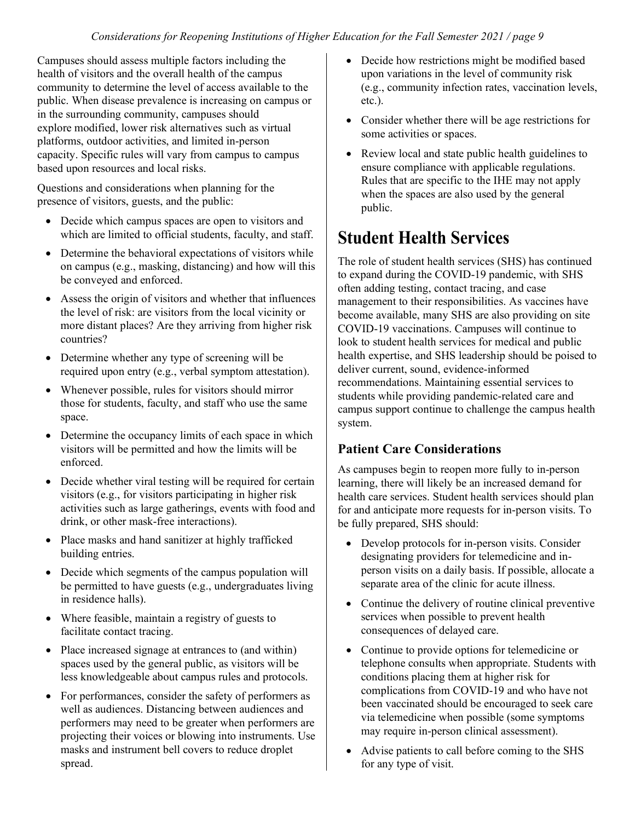Campuses should assess multiple factors including the health of visitors and the overall health of the campus community to determine the level of access available to the public. When disease prevalence is increasing on campus or in the surrounding community, campuses should explore modified, lower risk alternatives such as virtual platforms, outdoor activities, and limited in-person capacity. Specific rules will vary from campus to campus based upon resources and local risks.

Questions and considerations when planning for the presence of visitors, guests, and the public:

- Decide which campus spaces are open to visitors and which are limited to official students, faculty, and staff.
- Determine the behavioral expectations of visitors while on campus (e.g., masking, distancing) and how will this be conveyed and enforced.
- Assess the origin of visitors and whether that influences the level of risk: are visitors from the local vicinity or more distant places? Are they arriving from higher risk countries?
- Determine whether any type of screening will be required upon entry (e.g., verbal symptom attestation).
- Whenever possible, rules for visitors should mirror those for students, faculty, and staff who use the same space.
- Determine the occupancy limits of each space in which visitors will be permitted and how the limits will be enforced.
- Decide whether viral testing will be required for certain visitors (e.g., for visitors participating in higher risk activities such as large gatherings, events with food and drink, or other mask-free interactions).
- Place masks and hand sanitizer at highly trafficked building entries.
- Decide which segments of the campus population will be permitted to have guests (e.g., undergraduates living in residence halls).
- Where feasible, maintain a registry of guests to facilitate contact tracing.
- Place increased signage at entrances to (and within) spaces used by the general public, as visitors will be less knowledgeable about campus rules and protocols.
- For performances, consider the safety of performers as well as audiences. Distancing between audiences and performers may need to be greater when performers are projecting their voices or blowing into instruments. Use masks and instrument bell covers to reduce droplet spread.
- Decide how restrictions might be modified based upon variations in the level of community risk (e.g., community infection rates, vaccination levels, etc.).
- Consider whether there will be age restrictions for some activities or spaces.
- Review local and state public health guidelines to ensure compliance with applicable regulations. Rules that are specific to the IHE may not apply when the spaces are also used by the general public.

## **Student Health Services**

The role of student health services (SHS) has continued to expand during the COVID-19 pandemic, with SHS often adding testing, contact tracing, and case management to their responsibilities. As vaccines have become available, many SHS are also providing on site COVID-19 vaccinations. Campuses will continue to look to student health services for medical and public health expertise, and SHS leadership should be poised to deliver current, sound, evidence-informed recommendations. Maintaining essential services to students while providing pandemic-related care and campus support continue to challenge the campus health system.

#### **Patient Care Considerations**

As campuses begin to reopen more fully to in-person learning, there will likely be an increased demand for health care services. Student health services should plan for and anticipate more requests for in-person visits. To be fully prepared, SHS should:

- Develop protocols for in-person visits. Consider designating providers for telemedicine and inperson visits on a daily basis. If possible, allocate a separate area of the clinic for acute illness.
- Continue the delivery of routine clinical preventive services when possible to prevent health consequences of delayed care.
- Continue to provide options for telemedicine or telephone consults when appropriate. Students with conditions placing them at higher risk for complications from COVID-19 and who have not been vaccinated should be encouraged to seek care via telemedicine when possible (some symptoms may require in-person clinical assessment).
- Advise patients to call before coming to the SHS for any type of visit.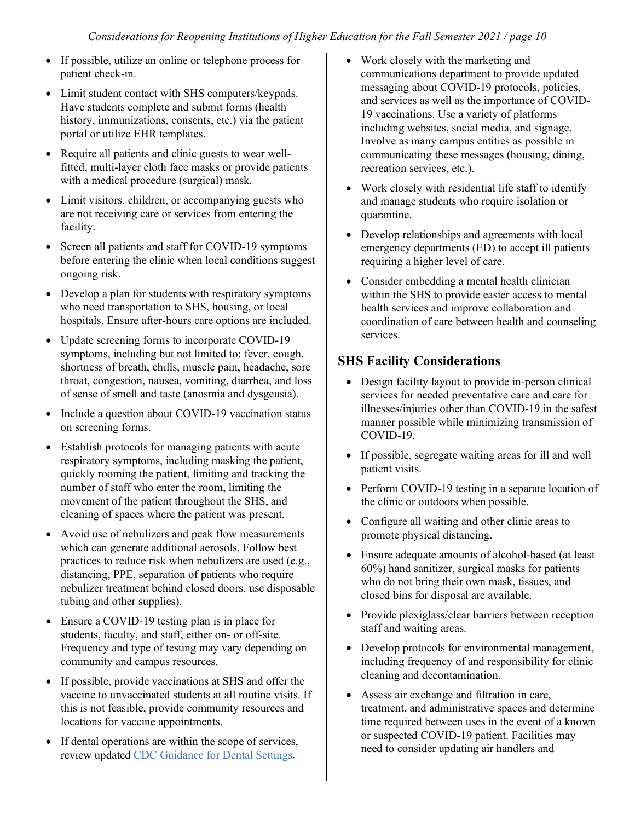- If possible, utilize an online or telephone process for patient check-in.
- Limit student contact with SHS computers/keypads. Have students complete and submit forms (health history, immunizations, consents, etc.) via the patient portal or utilize EHR templates.
- Require all patients and clinic guests to wear wellfitted, multi-layer cloth face masks or provide patients with a medical procedure (surgical) mask.
- Limit visitors, children, or accompanying guests who are not receiving care or services from entering the facility.
- Screen all patients and staff for COVID-19 symptoms before entering the clinic when local conditions suggest ongoing risk.
- Develop a plan for students with respiratory symptoms who need transportation to SHS, housing, or local hospitals. Ensure after-hours care options are included.
- Update screening forms to incorporate COVID-19 symptoms, including but not limited to: fever, cough, shortness of breath, chills, muscle pain, headache, sore throat, congestion, nausea, vomiting, diarrhea, and loss of sense of smell and taste (anosmia and dysgeusia).
- Include a question about COVID-19 vaccination status on screening forms.
- Establish protocols for managing patients with acute respiratory symptoms, including masking the patient, quickly rooming the patient, limiting and tracking the number of staff who enter the room, limiting the movement of the patient throughout the SHS, and cleaning of spaces where the patient was present.
- Avoid use of nebulizers and peak flow measurements which can generate additional aerosols. Follow best practices to reduce risk when nebulizers are used (e.g., distancing, PPE, separation of patients who require nebulizer treatment behind closed doors, use disposable tubing and other supplies).
- Ensure a COVID-19 testing plan is in place for students, faculty, and staff, either on- or off-site. Frequency and type of testing may vary depending on community and campus resources.
- If possible, provide vaccinations at SHS and offer the vaccine to unvaccinated students at all routine visits. If this is not feasible, provide community resources and locations for vaccine appointments.
- If dental operations are within the scope of services, review update[d CDC Guidance for Dental Settings.](https://www.cdc.gov/coronavirus/2019-ncov/hcp/dental-settings.html)
- Work closely with the marketing and communications department to provide updated messaging about COVID-19 protocols, policies, and services as well as the importance of COVID-19 vaccinations. Use a variety of platforms including websites, social media, and signage. Involve as many campus entities as possible in communicating these messages (housing, dining, recreation services, etc.).
- Work closely with residential life staff to identify and manage students who require isolation or quarantine.
- Develop relationships and agreements with local emergency departments (ED) to accept ill patients requiring a higher level of care.
- Consider embedding a mental health clinician within the SHS to provide easier access to mental health services and improve collaboration and coordination of care between health and counseling services.

### **SHS Facility Considerations**

- Design facility layout to provide in-person clinical services for needed preventative care and care for illnesses/injuries other than COVID-19 in the safest manner possible while minimizing transmission of COVID-19.
- If possible, segregate waiting areas for ill and well patient visits.
- Perform COVID-19 testing in a separate location of the clinic or outdoors when possible.
- Configure all waiting and other clinic areas to promote physical distancing.
- Ensure adequate amounts of alcohol-based (at least 60%) hand sanitizer, surgical masks for patients who do not bring their own mask, tissues, and closed bins for disposal are available.
- Provide plexiglass/clear barriers between reception staff and waiting areas.
- Develop protocols for environmental management, including frequency of and responsibility for clinic cleaning and decontamination.
- Assess air exchange and filtration in care, treatment, and administrative spaces and determine time required between uses in the event of a known or suspected COVID-19 patient. Facilities may need to consider updating air handlers and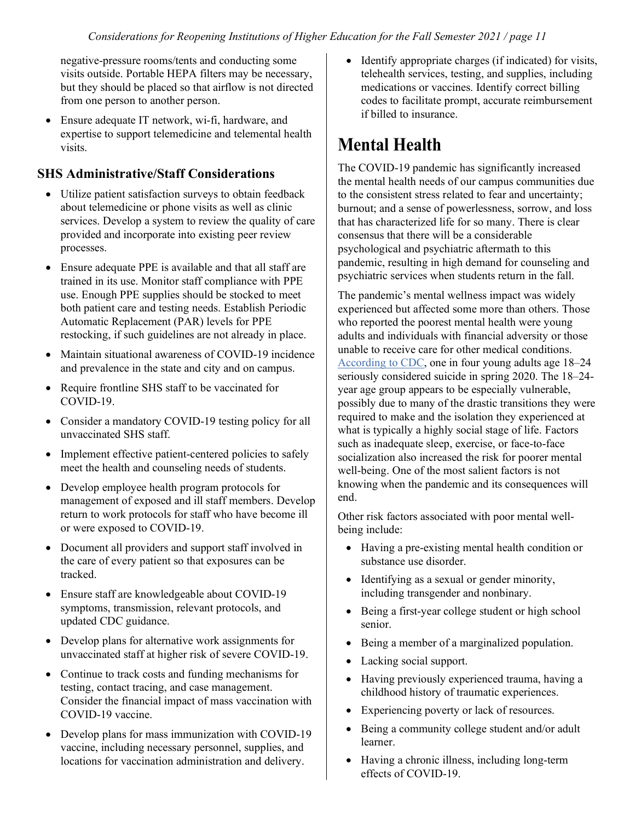negative-pressure rooms/tents and conducting some visits outside. Portable HEPA filters may be necessary, but they should be placed so that airflow is not directed from one person to another person.

• Ensure adequate IT network, wi-fi, hardware, and expertise to support telemedicine and telemental health visits.

#### **SHS Administrative/Staff Considerations**

- Utilize patient satisfaction surveys to obtain feedback about telemedicine or phone visits as well as clinic services. Develop a system to review the quality of care provided and incorporate into existing peer review processes.
- Ensure adequate PPE is available and that all staff are trained in its use. Monitor staff compliance with PPE use. Enough PPE supplies should be stocked to meet both patient care and testing needs. Establish Periodic Automatic Replacement (PAR) levels for PPE restocking, if such guidelines are not already in place.
- Maintain situational awareness of COVID-19 incidence and prevalence in the state and city and on campus.
- Require frontline SHS staff to be vaccinated for COVID-19.
- Consider a mandatory COVID-19 testing policy for all unvaccinated SHS staff.
- Implement effective patient-centered policies to safely meet the health and counseling needs of students.
- Develop employee health program protocols for management of exposed and ill staff members. Develop return to work protocols for staff who have become ill or were exposed to COVID-19.
- Document all providers and support staff involved in the care of every patient so that exposures can be tracked.
- Ensure staff are knowledgeable about COVID-19 symptoms, transmission, relevant protocols, and updated CDC guidance.
- Develop plans for alternative work assignments for unvaccinated staff at higher risk of severe COVID-19.
- Continue to track costs and funding mechanisms for testing, contact tracing, and case management. Consider the financial impact of mass vaccination with COVID-19 vaccine.
- Develop plans for mass immunization with COVID-19 vaccine, including necessary personnel, supplies, and locations for vaccination administration and delivery.

• Identify appropriate charges (if indicated) for visits, telehealth services, testing, and supplies, including medications or vaccines. Identify correct billing codes to facilitate prompt, accurate reimbursement if billed to insurance.

## **Mental Health**

The COVID-19 pandemic has significantly increased the mental health needs of our campus communities due to the consistent stress related to fear and uncertainty; burnout; and a sense of powerlessness, sorrow, and loss that has characterized life for so many. There is clear consensus that there will be a considerable psychological and psychiatric aftermath to this pandemic, resulting in high demand for counseling and psychiatric services when students return in the fall.

The pandemic's mental wellness impact was widely experienced but affected some more than others. Those who reported the poorest mental health were young adults and individuals with financial adversity or those unable to receive care for other medical conditions. [According to CDC,](https://www.cdc.gov/mmwr/volumes/69/wr/mm6932a1.htm) one in four young adults age 18–24 seriously considered suicide in spring 2020. The 18–24 year age group appears to be especially vulnerable, possibly due to many of the drastic transitions they were required to make and the isolation they experienced at what is typically a highly social stage of life. Factors such as inadequate sleep, exercise, or face-to-face socialization also increased the risk for poorer mental well-being. One of the most salient factors is not knowing when the pandemic and its consequences will end.

Other risk factors associated with poor mental wellbeing include:

- Having a pre-existing mental health condition or substance use disorder.
- Identifying as a sexual or gender minority, including transgender and nonbinary.
- Being a first-year college student or high school senior.
- Being a member of a marginalized population.
- Lacking social support.
- Having previously experienced trauma, having a childhood history of traumatic experiences.
- Experiencing poverty or lack of resources.
- Being a community college student and/or adult learner.
- Having a chronic illness, including long-term effects of COVID-19.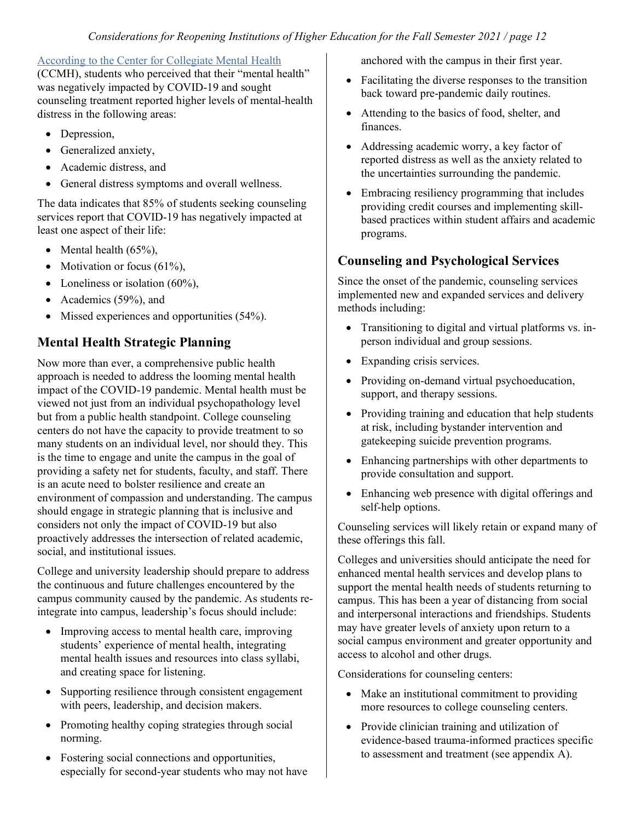#### [According to the Center for Collegiate Mental Health](https://ccmh.psu.edu/index.php?option=com_dailyplanetblog&view=entry&year=2021&month=02&day=01&id=9:part-1-of-5-covid-19-s-impact-on-college-student-mental-health)

(CCMH), students who perceived that their "mental health" was negatively impacted by COVID-19 and sought counseling treatment reported higher levels of mental-health distress in the following areas:

- Depression,
- Generalized anxiety,
- Academic distress, and
- General distress symptoms and overall wellness.

The data indicates that 85% of students seeking counseling services report that COVID-19 has negatively impacted at least one aspect of their life:

- Mental health  $(65\%)$ ,
- Motivation or focus  $(61\%)$ ,
- Loneliness or isolation  $(60\%)$ ,
- Academics (59%), and
- Missed experiences and opportunities (54%).

### **Mental Health Strategic Planning**

Now more than ever, a comprehensive public health approach is needed to address the looming mental health impact of the COVID-19 pandemic. Mental health must be viewed not just from an individual psychopathology level but from a public health standpoint. College counseling centers do not have the capacity to provide treatment to so many students on an individual level, nor should they. This is the time to engage and unite the campus in the goal of providing a safety net for students, faculty, and staff. There is an acute need to bolster resilience and create an environment of compassion and understanding. The campus should engage in strategic planning that is inclusive and considers not only the impact of COVID-19 but also proactively addresses the intersection of related academic, social, and institutional issues.

College and university leadership should prepare to address the continuous and future challenges encountered by the campus community caused by the pandemic. As students reintegrate into campus, leadership's focus should include:

- Improving access to mental health care, improving students' experience of mental health, integrating mental health issues and resources into class syllabi, and creating space for listening.
- Supporting resilience through consistent engagement with peers, leadership, and decision makers.
- Promoting healthy coping strategies through social norming.
- Fostering social connections and opportunities, especially for second-year students who may not have

anchored with the campus in their first year.

- Facilitating the diverse responses to the transition back toward pre-pandemic daily routines.
- Attending to the basics of food, shelter, and finances.
- Addressing academic worry, a key factor of reported distress as well as the anxiety related to the uncertainties surrounding the pandemic.
- Embracing resiliency programming that includes providing credit courses and implementing skillbased practices within student affairs and academic programs.

### **Counseling and Psychological Services**

Since the onset of the pandemic, counseling services implemented new and expanded services and delivery methods including:

- Transitioning to digital and virtual platforms vs. inperson individual and group sessions.
- Expanding crisis services.
- Providing on-demand virtual psychoeducation, support, and therapy sessions.
- Providing training and education that help students at risk, including bystander intervention and gatekeeping suicide prevention programs.
- Enhancing partnerships with other departments to provide consultation and support.
- Enhancing web presence with digital offerings and self-help options.

Counseling services will likely retain or expand many of these offerings this fall.

Colleges and universities should anticipate the need for enhanced mental health services and develop plans to support the mental health needs of students returning to campus. This has been a year of distancing from social and interpersonal interactions and friendships. Students may have greater levels of anxiety upon return to a social campus environment and greater opportunity and access to alcohol and other drugs.

Considerations for counseling centers:

- Make an institutional commitment to providing more resources to college counseling centers.
- Provide clinician training and utilization of evidence-based trauma-informed practices specific to assessment and treatment (see appendix A).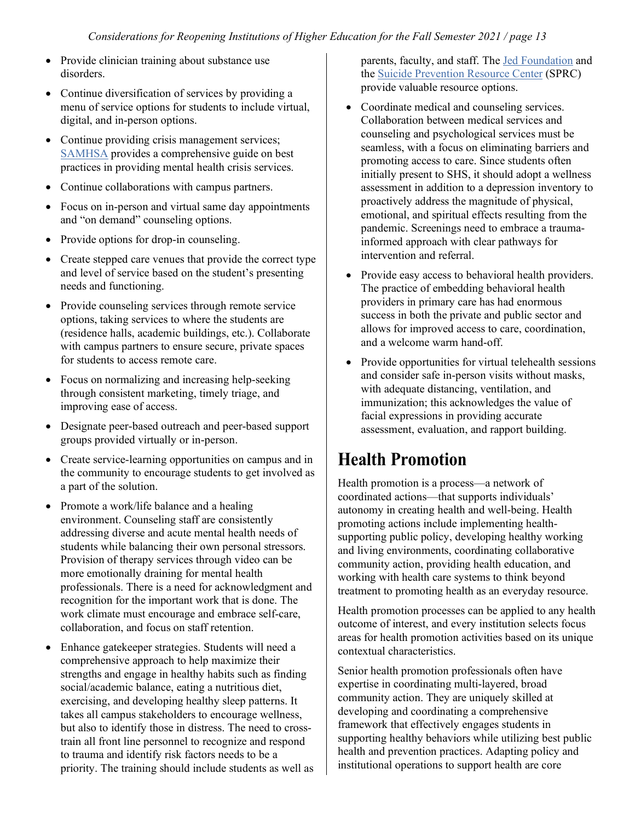- Provide clinician training about substance use disorders.
- Continue diversification of services by providing a menu of service options for students to include virtual, digital, and in-person options.
- Continue providing crisis management services; [SAMHSA](https://www.samhsa.gov/sites/default/files/national-guidelines-for-behavioral-health-crisis-care-02242020.pdf) provides a comprehensive guide on best practices in providing mental health crisis services.
- Continue collaborations with campus partners.
- Focus on in-person and virtual same day appointments and "on demand" counseling options.
- Provide options for drop-in counseling.
- Create stepped care venues that provide the correct type and level of service based on the student's presenting needs and functioning.
- Provide counseling services through remote service options, taking services to where the students are (residence halls, academic buildings, etc.). Collaborate with campus partners to ensure secure, private spaces for students to access remote care.
- Focus on normalizing and increasing help-seeking through consistent marketing, timely triage, and improving ease of access.
- Designate peer-based outreach and peer-based support groups provided virtually or in-person.
- Create service-learning opportunities on campus and in the community to encourage students to get involved as a part of the solution.
- Promote a work/life balance and a healing environment. Counseling staff are consistently addressing diverse and acute mental health needs of students while balancing their own personal stressors. Provision of therapy services through video can be more emotionally draining for mental health professionals. There is a need for acknowledgment and recognition for the important work that is done. The work climate must encourage and embrace self-care, collaboration, and focus on staff retention.
- Enhance gatekeeper strategies. Students will need a comprehensive approach to help maximize their strengths and engage in healthy habits such as finding social/academic balance, eating a nutritious diet, exercising, and developing healthy sleep patterns. It takes all campus stakeholders to encourage wellness, but also to identify those in distress. The need to crosstrain all front line personnel to recognize and respond to trauma and identify risk factors needs to be a priority. The training should include students as well as

parents, faculty, and staff. The [Jed Foundation](https://www.jedfoundation.org/you-can-help-a-friend-ychaf-training/#:%7E:text=A%20fundamental%20part%20of%20a,to%20professional%20help%20if%20n) and the [Suicide Prevention Resource Center](https://www.sprc.org/resources-programs/choosing-suicide-prevention-gatekeeper-training-program-comparison-table-1) (SPRC) provide valuable resource options.

- Coordinate medical and counseling services. Collaboration between medical services and counseling and psychological services must be seamless, with a focus on eliminating barriers and promoting access to care. Since students often initially present to SHS, it should adopt a wellness assessment in addition to a depression inventory to proactively address the magnitude of physical, emotional, and spiritual effects resulting from the pandemic. Screenings need to embrace a traumainformed approach with clear pathways for intervention and referral.
- Provide easy access to behavioral health providers. The practice of embedding behavioral health providers in primary care has had enormous success in both the private and public sector and allows for improved access to care, coordination, and a welcome warm hand-off.
- Provide opportunities for virtual telehealth sessions and consider safe in-person visits without masks, with adequate distancing, ventilation, and immunization; this acknowledges the value of facial expressions in providing accurate assessment, evaluation, and rapport building.

## **Health Promotion**

Health promotion is a process—a network of coordinated actions—that supports individuals' autonomy in creating health and well-being. Health promoting actions include implementing healthsupporting public policy, developing healthy working and living environments, coordinating collaborative community action, providing health education, and working with health care systems to think beyond treatment to promoting health as an everyday resource.

Health promotion processes can be applied to any health outcome of interest, and every institution selects focus areas for health promotion activities based on its unique contextual characteristics.

Senior health promotion professionals often have expertise in coordinating multi-layered, broad community action. They are uniquely skilled at developing and coordinating a comprehensive framework that effectively engages students in supporting healthy behaviors while utilizing best public health and prevention practices. Adapting policy and institutional operations to support health are core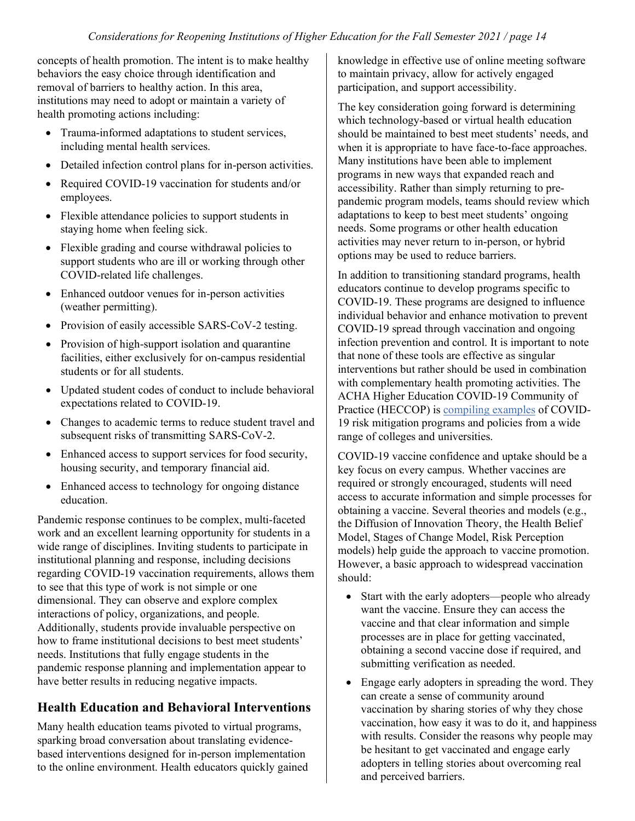concepts of health promotion. The intent is to make healthy behaviors the easy choice through identification and removal of barriers to healthy action. In this area, institutions may need to adopt or maintain a variety of health promoting actions including:

- Trauma-informed adaptations to student services, including mental health services.
- Detailed infection control plans for in-person activities.
- Required COVID-19 vaccination for students and/or employees.
- Flexible attendance policies to support students in staying home when feeling sick.
- Flexible grading and course withdrawal policies to support students who are ill or working through other COVID-related life challenges.
- Enhanced outdoor venues for in-person activities (weather permitting).
- Provision of easily accessible SARS-CoV-2 testing.
- Provision of high-support isolation and quarantine facilities, either exclusively for on-campus residential students or for all students.
- Updated student codes of conduct to include behavioral expectations related to COVID-19.
- Changes to academic terms to reduce student travel and subsequent risks of transmitting SARS-CoV-2.
- Enhanced access to support services for food security, housing security, and temporary financial aid.
- Enhanced access to technology for ongoing distance education.

Pandemic response continues to be complex, multi-faceted work and an excellent learning opportunity for students in a wide range of disciplines. Inviting students to participate in institutional planning and response, including decisions regarding COVID-19 vaccination requirements, allows them to see that this type of work is not simple or one dimensional. They can observe and explore complex interactions of policy, organizations, and people. Additionally, students provide invaluable perspective on how to frame institutional decisions to best meet students' needs. Institutions that fully engage students in the pandemic response planning and implementation appear to have better results in reducing negative impacts.

#### **Health Education and Behavioral Interventions**

Many health education teams pivoted to virtual programs, sparking broad conversation about translating evidencebased interventions designed for in-person implementation to the online environment. Health educators quickly gained knowledge in effective use of online meeting software to maintain privacy, allow for actively engaged participation, and support accessibility.

The key consideration going forward is determining which technology-based or virtual health education should be maintained to best meet students' needs, and when it is appropriate to have face-to-face approaches. Many institutions have been able to implement programs in new ways that expanded reach and accessibility. Rather than simply returning to prepandemic program models, teams should review which adaptations to keep to best meet students' ongoing needs. Some programs or other health education activities may never return to in-person, or hybrid options may be used to reduce barriers.

In addition to transitioning standard programs, health educators continue to develop programs specific to COVID-19. These programs are designed to influence individual behavior and enhance motivation to prevent COVID-19 spread through vaccination and ongoing infection prevention and control. It is important to note that none of these tools are effective as singular interventions but rather should be used in combination with complementary health promoting activities. The ACHA Higher Education COVID-19 Community of Practice (HECCOP) is [compiling examples](https://www.acha.org/HECCOP/Compendium/Find_a_Program/HECCOP/Directory/Search.aspx) of COVID-19 risk mitigation programs and policies from a wide range of colleges and universities.

COVID-19 vaccine confidence and uptake should be a key focus on every campus. Whether vaccines are required or strongly encouraged, students will need access to accurate information and simple processes for obtaining a vaccine. Several theories and models (e.g., the Diffusion of Innovation Theory, the Health Belief Model, Stages of Change Model, Risk Perception models) help guide the approach to vaccine promotion. However, a basic approach to widespread vaccination should:

- Start with the early adopters—people who already want the vaccine. Ensure they can access the vaccine and that clear information and simple processes are in place for getting vaccinated, obtaining a second vaccine dose if required, and submitting verification as needed.
- Engage early adopters in spreading the word. They can create a sense of community around vaccination by sharing stories of why they chose vaccination, how easy it was to do it, and happiness with results. Consider the reasons why people may be hesitant to get vaccinated and engage early adopters in telling stories about overcoming real and perceived barriers.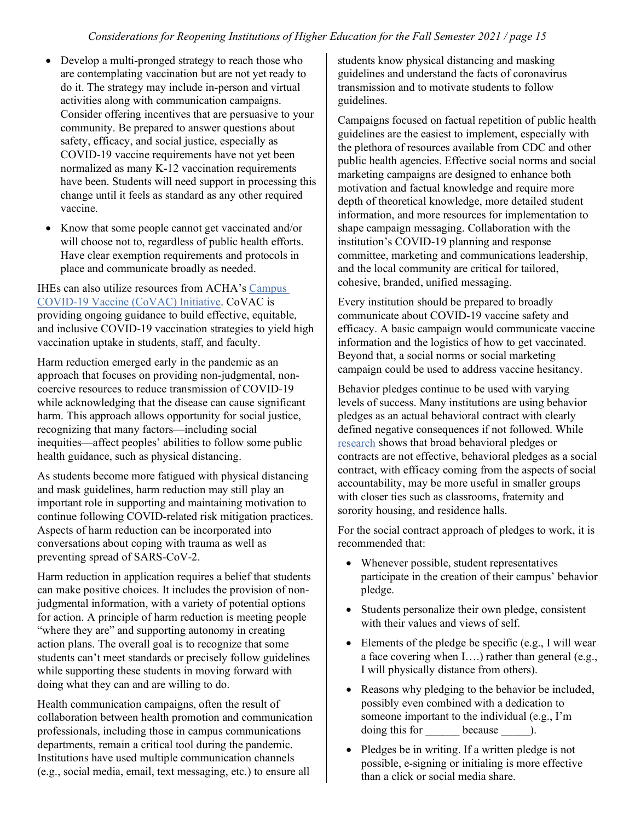- Develop a multi-pronged strategy to reach those who are contemplating vaccination but are not yet ready to do it. The strategy may include in-person and virtual activities along with communication campaigns. Consider offering incentives that are persuasive to your community. Be prepared to answer questions about safety, efficacy, and social justice, especially as COVID-19 vaccine requirements have not yet been normalized as many K-12 vaccination requirements have been. Students will need support in processing this change until it feels as standard as any other required vaccine.
- Know that some people cannot get vaccinated and/or will choose not to, regardless of public health efforts. Have clear exemption requirements and protocols in place and communicate broadly as needed.

IHEs can also utilize resources from ACHA's [Campus](https://www.acha.org/ACHA/Resources/COVID-19_Novel_Coronavirus/Campus_COVID-19_Vaccine_Initiative/ACHA/Resources/Topics/CoVAC.aspx)  [COVID-19 Vaccine \(CoVAC\) Initiative](https://www.acha.org/ACHA/Resources/COVID-19_Novel_Coronavirus/Campus_COVID-19_Vaccine_Initiative/ACHA/Resources/Topics/CoVAC.aspx)[. CoVAC is](http://www.cdc.gob/)  [providing ongoing guidance to build e](http://www.cdc.gob/)ffective, equitable, and inclusive COVID-19 vaccination strategies to yield high vaccination uptake in students, staff, and faculty.

Harm reduction emerged early in the pandemic as an approach that focuses on providing non-judgmental, noncoercive resources to reduce transmission of COVID-19 while acknowledging that the disease can cause significant harm. This approach allows opportunity for social justice, recognizing that many factors—including social inequities—affect peoples' abilities to follow some public health guidance, such as physical distancing.

As students become more fatigued with physical distancing and mask guidelines, harm reduction may still play an important role in supporting and maintaining motivation to continue following COVID-related risk mitigation practices. Aspects of harm reduction can be incorporated into conversations about coping with trauma as well as preventing spread of SARS-CoV-2.

Harm reduction in application requires a belief that students can make positive choices. It includes the provision of nonjudgmental information, with a variety of potential options for action. A principle of harm reduction is meeting people "where they are" and supporting autonomy in creating action plans. The overall goal is to recognize that some students can't meet standards or precisely follow guidelines while supporting these students in moving forward with doing what they can and are willing to do.

Health communication campaigns, often the result of collaboration between health promotion and communication professionals, including those in campus communications departments, remain a critical tool during the pandemic. Institutions have used multiple communication channels (e.g., social media, email, text messaging, etc.) to ensure all

students know physical distancing and masking guidelines and understand the facts of coronavirus transmission and to motivate students to follow guidelines.

Campaigns focused on factual repetition of public health guidelines are the easiest to implement, especially with the plethora of resources available from CDC and other public health agencies. Effective social norms and social marketing campaigns are designed to enhance both motivation and factual knowledge and require more depth of theoretical knowledge, more detailed student information, and more resources for implementation to shape campaign messaging. Collaboration with the institution's COVID-19 planning and response committee, marketing and communications leadership, and the local community are critical for tailored, cohesive, branded, unified messaging.

Every institution should be prepared to broadly communicate about COVID-19 vaccine safety and efficacy. A basic campaign would communicate vaccine information and the logistics of how to get vaccinated. Beyond that, a social norms or social marketing campaign could be used to address vaccine hesitancy.

Behavior pledges continue to be used with varying levels of success. Many institutions are using behavior pledges as an actual behavioral contract with clearly defined negative consequences if not followed. While [research](https://journals.sagepub.com/doi/full/10.1177/0033354921994899) shows that broad behavioral pledges or contracts are not effective, behavioral pledges as a social contract, with efficacy coming from the aspects of social accountability, may be more useful in smaller groups with closer ties such as classrooms, fraternity and sorority housing, and residence halls.

For the social contract approach of pledges to work, it is recommended that:

- Whenever possible, student representatives participate in the creation of their campus' behavior pledge.
- Students personalize their own pledge, consistent with their values and views of self.
- Elements of the pledge be specific (e.g., I will wear a face covering when I….) rather than general (e.g., I will physically distance from others).
- Reasons why pledging to the behavior be included, possibly even combined with a dedication to someone important to the individual (e.g., I'm doing this for because  $\qquad$ ).
- Pledges be in writing. If a written pledge is not possible, e-signing or initialing is more effective than a click or social media share.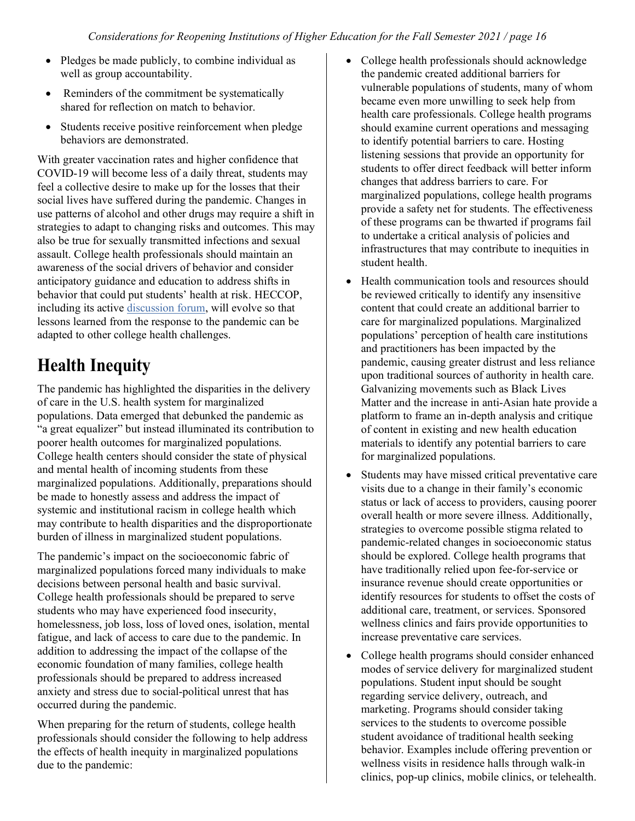- Pledges be made publicly, to combine individual as well as group accountability.
- Reminders of the commitment be systematically shared for reflection on match to behavior.
- Students receive positive reinforcement when pledge behaviors are demonstrated.

With greater vaccination rates and higher confidence that COVID-19 will become less of a daily threat, students may feel a collective desire to make up for the losses that their social lives have suffered during the pandemic. Changes in use patterns of alcohol and other drugs may require a shift in strategies to adapt to changing risks and outcomes. This may also be true for sexually transmitted infections and sexual assault. College health professionals should maintain an awareness of the social drivers of behavior and consider anticipatory guidance and education to address shifts in behavior that could put students' health at risk. HECCOP, including its active [discussion forum,](https://www.acha.org/HECCOP/Discussion_Forum/HECCOP/Discussion_Forum/About_the_Forum.aspx?hkey=c6a9174a-ef34-45d2-9293-a41f6a424c86) will evolve so that lessons learned from the response to the pandemic can be adapted to other college health challenges.

## **Health Inequity**

The pandemic has highlighted the disparities in the delivery of care in the U.S. health system for marginalized populations. Data emerged that debunked the pandemic as "a great equalizer" but instead illuminated its contribution to poorer health outcomes for marginalized populations. College health centers should consider the state of physical and mental health of incoming students from these marginalized populations. Additionally, preparations should be made to honestly assess and address the impact of systemic and institutional racism in college health which may contribute to health disparities and the disproportionate burden of illness in marginalized student populations.

The pandemic's impact on the socioeconomic fabric of marginalized populations forced many individuals to make decisions between personal health and basic survival. College health professionals should be prepared to serve students who may have experienced food insecurity, homelessness, job loss, loss of loved ones, isolation, mental fatigue, and lack of access to care due to the pandemic. In addition to addressing the impact of the collapse of the economic foundation of many families, college health professionals should be prepared to address increased anxiety and stress due to social-political unrest that has occurred during the pandemic.

When preparing for the return of students, college health professionals should consider the following to help address the effects of health inequity in marginalized populations due to the pandemic:

- College health professionals should acknowledge the pandemic created additional barriers for vulnerable populations of students, many of whom became even more unwilling to seek help from health care professionals. College health programs should examine current operations and messaging to identify potential barriers to care. Hosting listening sessions that provide an opportunity for students to offer direct feedback will better inform changes that address barriers to care. For marginalized populations, college health programs provide a safety net for students. The effectiveness of these programs can be thwarted if programs fail to undertake a critical analysis of policies and infrastructures that may contribute to inequities in student health.
- Health communication tools and resources should be reviewed critically to identify any insensitive content that could create an additional barrier to care for marginalized populations. Marginalized populations' perception of health care institutions and practitioners has been impacted by the pandemic, causing greater distrust and less reliance upon traditional sources of authority in health care. Galvanizing movements such as Black Lives Matter and the increase in anti-Asian hate provide a platform to frame an in-depth analysis and critique of content in existing and new health education materials to identify any potential barriers to care for marginalized populations.
- Students may have missed critical preventative care visits due to a change in their family's economic status or lack of access to providers, causing poorer overall health or more severe illness. Additionally, strategies to overcome possible stigma related to pandemic-related changes in socioeconomic status should be explored. College health programs that have traditionally relied upon fee-for-service or insurance revenue should create opportunities or identify resources for students to offset the costs of additional care, treatment, or services. Sponsored wellness clinics and fairs provide opportunities to increase preventative care services.
- College health programs should consider enhanced modes of service delivery for marginalized student populations. Student input should be sought regarding service delivery, outreach, and marketing. Programs should consider taking services to the students to overcome possible student avoidance of traditional health seeking behavior. Examples include offering prevention or wellness visits in residence halls through walk-in clinics, pop-up clinics, mobile clinics, or telehealth.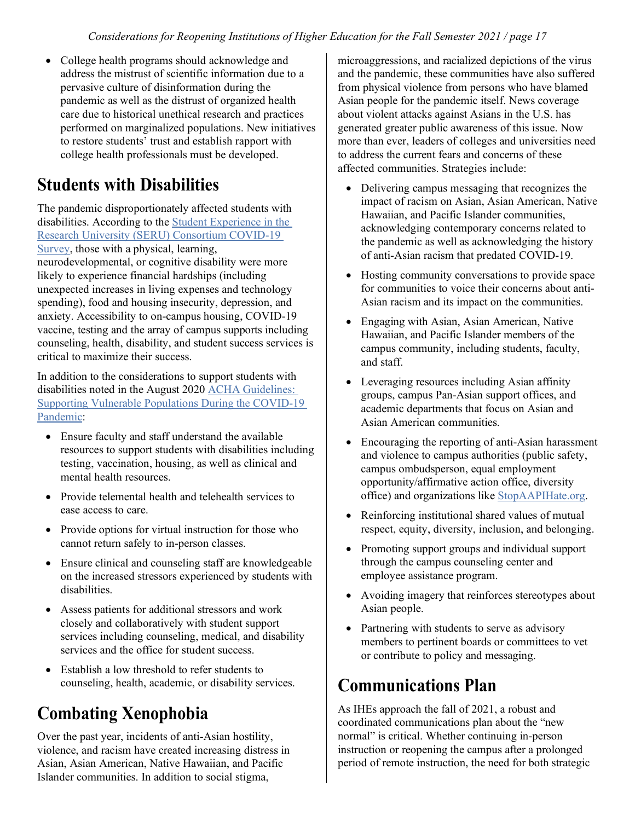• College health programs should acknowledge and address the mistrust of scientific information due to a pervasive culture of disinformation during the pandemic as well as the distrust of organized health care due to historical unethical research and practices performed on marginalized populations. New initiatives to restore students' trust and establish rapport with college health professionals must be developed.

## **Students with Disabilities**

The pandemic disproportionately affected students with disabilities. According to the [Student Experience in the](https://docs.google.com/document/d/1JrPktBoLN2cJHxwGwLorgCKFnlR86klkMBe15yPbey0/edit)  [Research University \(SERU\) Consortium COVID-19](https://docs.google.com/document/d/1JrPktBoLN2cJHxwGwLorgCKFnlR86klkMBe15yPbey0/edit)  [Survey,](https://docs.google.com/document/d/1JrPktBoLN2cJHxwGwLorgCKFnlR86klkMBe15yPbey0/edit) those with a physical, learning,

neurodevelopmental, or cognitive disability were more likely to experience financial hardships (including unexpected increases in living expenses and technology spending), food and housing insecurity, depression, and anxiety. Accessibility to on-campus housing, COVID-19 vaccine, testing and the array of campus supports including counseling, health, disability, and student success services is critical to maximize their success.

In addition to the considerations to support students with disabilities noted in the August 2020 [ACHA Guidelines:](https://www.acha.org/documents/resources/guidelines/ACHA_Supporting_Vulnerable_Populations_During_the_COVID-19_Pandemic_August2020.pdf)  [Supporting Vulnerable Populations During the COVID-19](https://www.acha.org/documents/resources/guidelines/ACHA_Supporting_Vulnerable_Populations_During_the_COVID-19_Pandemic_August2020.pdf)  [Pandemic:](https://www.acha.org/documents/resources/guidelines/ACHA_Supporting_Vulnerable_Populations_During_the_COVID-19_Pandemic_August2020.pdf)

- Ensure faculty and staff understand the available resources to support students with disabilities including testing, vaccination, housing, as well as clinical and mental health resources.
- Provide telemental health and telehealth services to ease access to care.
- Provide options for virtual instruction for those who cannot return safely to in-person classes.
- Ensure clinical and counseling staff are knowledgeable on the increased stressors experienced by students with disabilities.
- Assess patients for additional stressors and work closely and collaboratively with student support services including counseling, medical, and disability services and the office for student success.
- Establish a low threshold to refer students to counseling, health, academic, or disability services.

## **Combating Xenophobia**

Over the past year, incidents of anti-Asian hostility, violence, and racism have created increasing distress in Asian, Asian American, Native Hawaiian, and Pacific Islander communities. In addition to social stigma,

microaggressions, and racialized depictions of the virus and the pandemic, these communities have also suffered from physical violence from persons who have blamed Asian people for the pandemic itself. News coverage about violent attacks against Asians in the U.S. has generated greater public awareness of this issue. Now more than ever, leaders of colleges and universities need to address the current fears and concerns of these affected communities. Strategies include:

- Delivering campus messaging that recognizes the impact of racism on Asian, Asian American, Native Hawaiian, and Pacific Islander communities, acknowledging contemporary concerns related to the pandemic as well as acknowledging the history of anti-Asian racism that predated COVID-19.
- Hosting community conversations to provide space for communities to voice their concerns about anti-Asian racism and its impact on the communities.
- Engaging with Asian, Asian American, Native Hawaiian, and Pacific Islander members of the campus community, including students, faculty, and staff.
- Leveraging resources including Asian affinity groups, campus Pan-Asian support offices, and academic departments that focus on Asian and Asian American communities.
- Encouraging the reporting of anti-Asian harassment and violence to campus authorities (public safety, campus ombudsperson, equal employment opportunity/affirmative action office, diversity office) and organizations like [StopAAPIHate.org.](https://stopaapihate.org/)
- Reinforcing institutional shared values of mutual respect, equity, diversity, inclusion, and belonging.
- Promoting support groups and individual support through the campus counseling center and employee assistance program.
- Avoiding imagery that reinforces stereotypes about Asian people.
- Partnering with students to serve as advisory members to pertinent boards or committees to vet or contribute to policy and messaging.

## **Communications Plan**

As IHEs approach the fall of 2021, a robust and coordinated communications plan about the "new normal" is critical. Whether continuing in-person instruction or reopening the campus after a prolonged period of remote instruction, the need for both strategic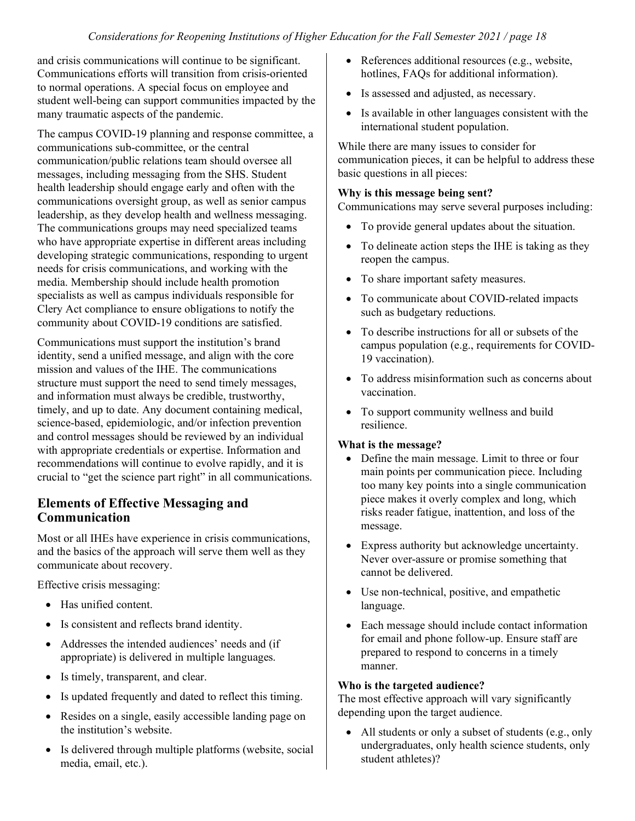and crisis communications will continue to be significant. Communications efforts will transition from crisis-oriented to normal operations. A special focus on employee and student well-being can support communities impacted by the many traumatic aspects of the pandemic.

The campus COVID-19 planning and response committee, a communications sub-committee, or the central communication/public relations team should oversee all messages, including messaging from the SHS. Student health leadership should engage early and often with the communications oversight group, as well as senior campus leadership, as they develop health and wellness messaging. The communications groups may need specialized teams who have appropriate expertise in different areas including developing strategic communications, responding to urgent needs for crisis communications, and working with the media. Membership should include health promotion specialists as well as campus individuals responsible for Clery Act compliance to ensure obligations to notify the community about COVID-19 conditions are satisfied.

Communications must support the institution's brand identity, send a unified message, and align with the core mission and values of the IHE. The communications structure must support the need to send timely messages, and information must always be credible, trustworthy, timely, and up to date. Any document containing medical, science-based, epidemiologic, and/or infection prevention and control messages should be reviewed by an individual with appropriate credentials or expertise. Information and recommendations will continue to evolve rapidly, and it is crucial to "get the science part right" in all communications.

#### **Elements of Effective Messaging and Communication**

Most or all IHEs have experience in crisis communications, and the basics of the approach will serve them well as they communicate about recovery.

Effective crisis messaging:

- Has unified content.
- Is consistent and reflects brand identity.
- Addresses the intended audiences' needs and (if appropriate) is delivered in multiple languages.
- Is timely, transparent, and clear.
- Is updated frequently and dated to reflect this timing.
- Resides on a single, easily accessible landing page on the institution's website.
- Is delivered through multiple platforms (website, social media, email, etc.).
- References additional resources (e.g., website, hotlines, FAQs for additional information).
- Is assessed and adjusted, as necessary.
- Is available in other languages consistent with the international student population.

While there are many issues to consider for communication pieces, it can be helpful to address these basic questions in all pieces:

#### **Why is this message being sent?**

Communications may serve several purposes including:

- To provide general updates about the situation.
- To delineate action steps the IHE is taking as they reopen the campus.
- To share important safety measures.
- To communicate about COVID-related impacts such as budgetary reductions.
- To describe instructions for all or subsets of the campus population (e.g., requirements for COVID-19 vaccination).
- To address misinformation such as concerns about vaccination.
- To support community wellness and build resilience.

#### **What is the message?**

- Define the main message. Limit to three or four main points per communication piece. Including too many key points into a single communication piece makes it overly complex and long, which risks reader fatigue, inattention, and loss of the message.
- Express authority but acknowledge uncertainty. Never over-assure or promise something that cannot be delivered.
- Use non-technical, positive, and empathetic language.
- Each message should include contact information for email and phone follow-up. Ensure staff are prepared to respond to concerns in a timely manner.

#### **Who is the targeted audience?**

The most effective approach will vary significantly depending upon the target audience.

• All students or only a subset of students (e.g., only undergraduates, only health science students, only student athletes)?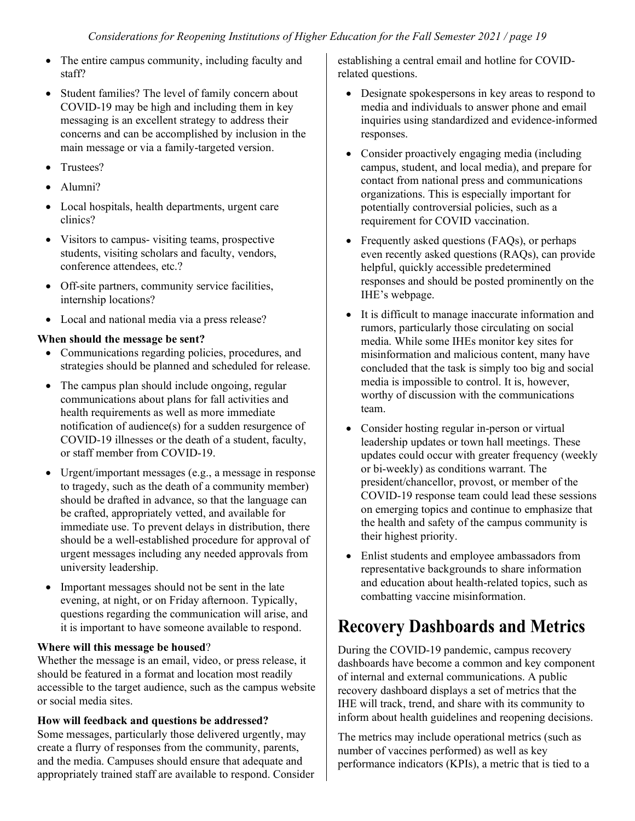- The entire campus community, including faculty and staff?
- Student families? The level of family concern about COVID-19 may be high and including them in key messaging is an excellent strategy to address their concerns and can be accomplished by inclusion in the main message or via a family-targeted version.
- Trustees?
- Alumni?
- Local hospitals, health departments, urgent care clinics?
- Visitors to campus- visiting teams, prospective students, visiting scholars and faculty, vendors, conference attendees, etc.?
- Off-site partners, community service facilities, internship locations?
- Local and national media via a press release?

#### **When should the message be sent?**

- Communications regarding policies, procedures, and strategies should be planned and scheduled for release.
- The campus plan should include ongoing, regular communications about plans for fall activities and health requirements as well as more immediate notification of audience(s) for a sudden resurgence of COVID-19 illnesses or the death of a student, faculty, or staff member from COVID-19.
- Urgent/important messages (e.g., a message in response to tragedy, such as the death of a community member) should be drafted in advance, so that the language can be crafted, appropriately vetted, and available for immediate use. To prevent delays in distribution, there should be a well-established procedure for approval of urgent messages including any needed approvals from university leadership.
- Important messages should not be sent in the late evening, at night, or on Friday afternoon. Typically, questions regarding the communication will arise, and it is important to have someone available to respond.

#### **Where will this message be housed**?

Whether the message is an email, video, or press release, it should be featured in a format and location most readily accessible to the target audience, such as the campus website or social media sites.

#### **How will feedback and questions be addressed?**

Some messages, particularly those delivered urgently, may create a flurry of responses from the community, parents, and the media. Campuses should ensure that adequate and appropriately trained staff are available to respond. Consider establishing a central email and hotline for COVIDrelated questions.

- Designate spokespersons in key areas to respond to media and individuals to answer phone and email inquiries using standardized and evidence-informed responses.
- Consider proactively engaging media (including campus, student, and local media), and prepare for contact from national press and communications organizations. This is especially important for potentially controversial policies, such as a requirement for COVID vaccination.
- Frequently asked questions (FAQs), or perhaps even recently asked questions (RAQs), can provide helpful, quickly accessible predetermined responses and should be posted prominently on the IHE's webpage.
- It is difficult to manage inaccurate information and rumors, particularly those circulating on social media. While some IHEs monitor key sites for misinformation and malicious content, many have concluded that the task is simply too big and social media is impossible to control. It is, however, worthy of discussion with the communications team.
- Consider hosting regular in-person or virtual leadership updates or town hall meetings. These updates could occur with greater frequency (weekly or bi-weekly) as conditions warrant. The president/chancellor, provost, or member of the COVID-19 response team could lead these sessions on emerging topics and continue to emphasize that the health and safety of the campus community is their highest priority.
- Enlist students and employee ambassadors from representative backgrounds to share information and education about health-related topics, such as combatting vaccine misinformation.

## **Recovery Dashboards and Metrics**

During the COVID-19 pandemic, campus recovery dashboards have become a common and key component of internal and external communications. A public recovery dashboard displays a set of metrics that the IHE will track, trend, and share with its community to inform about health guidelines and reopening decisions.

The metrics may include operational metrics (such as number of vaccines performed) as well as key performance indicators (KPIs), a metric that is tied to a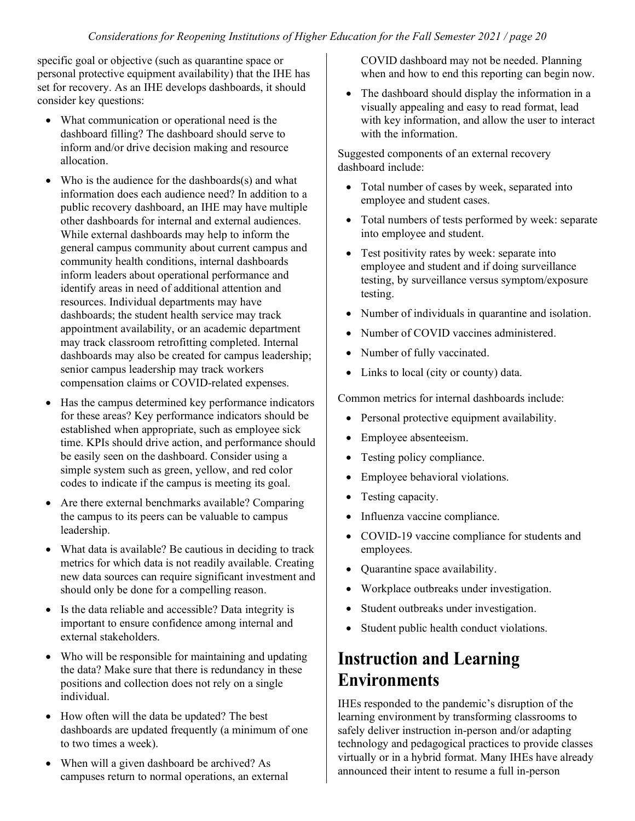specific goal or objective (such as quarantine space or personal protective equipment availability) that the IHE has set for recovery. As an IHE develops dashboards, it should consider key questions:

- What communication or operational need is the dashboard filling? The dashboard should serve to inform and/or drive decision making and resource allocation.
- Who is the audience for the dashboards(s) and what information does each audience need? In addition to a public recovery dashboard, an IHE may have multiple other dashboards for internal and external audiences. While external dashboards may help to inform the general campus community about current campus and community health conditions, internal dashboards inform leaders about operational performance and identify areas in need of additional attention and resources. Individual departments may have dashboards; the student health service may track appointment availability, or an academic department may track classroom retrofitting completed. Internal dashboards may also be created for campus leadership; senior campus leadership may track workers compensation claims or COVID-related expenses.
- Has the campus determined key performance indicators for these areas? Key performance indicators should be established when appropriate, such as employee sick time. KPIs should drive action, and performance should be easily seen on the dashboard. Consider using a simple system such as green, yellow, and red color codes to indicate if the campus is meeting its goal.
- Are there external benchmarks available? Comparing the campus to its peers can be valuable to campus leadership.
- What data is available? Be cautious in deciding to track metrics for which data is not readily available. Creating new data sources can require significant investment and should only be done for a compelling reason.
- Is the data reliable and accessible? Data integrity is important to ensure confidence among internal and external stakeholders.
- Who will be responsible for maintaining and updating the data? Make sure that there is redundancy in these positions and collection does not rely on a single individual.
- How often will the data be updated? The best dashboards are updated frequently (a minimum of one to two times a week).
- When will a given dashboard be archived? As campuses return to normal operations, an external

COVID dashboard may not be needed. Planning when and how to end this reporting can begin now.

• The dashboard should display the information in a visually appealing and easy to read format, lead with key information, and allow the user to interact with the information.

Suggested components of an external recovery dashboard include:

- Total number of cases by week, separated into employee and student cases.
- Total numbers of tests performed by week: separate into employee and student.
- Test positivity rates by week: separate into employee and student and if doing surveillance testing, by surveillance versus symptom/exposure testing.
- Number of individuals in quarantine and isolation.
- Number of COVID vaccines administered.
- Number of fully vaccinated.
- Links to local (city or county) data.

Common metrics for internal dashboards include:

- Personal protective equipment availability.
- Employee absenteeism.
- Testing policy compliance.
- Employee behavioral violations.
- Testing capacity.
- Influenza vaccine compliance.
- COVID-19 vaccine compliance for students and employees.
- Quarantine space availability.
- Workplace outbreaks under investigation.
- Student outbreaks under investigation.
- Student public health conduct violations.

### **Instruction and Learning Environments**

IHEs responded to the pandemic's disruption of the learning environment by transforming classrooms to safely deliver instruction in-person and/or adapting technology and pedagogical practices to provide classes virtually or in a hybrid format. Many IHEs have already announced their intent to resume a full in-person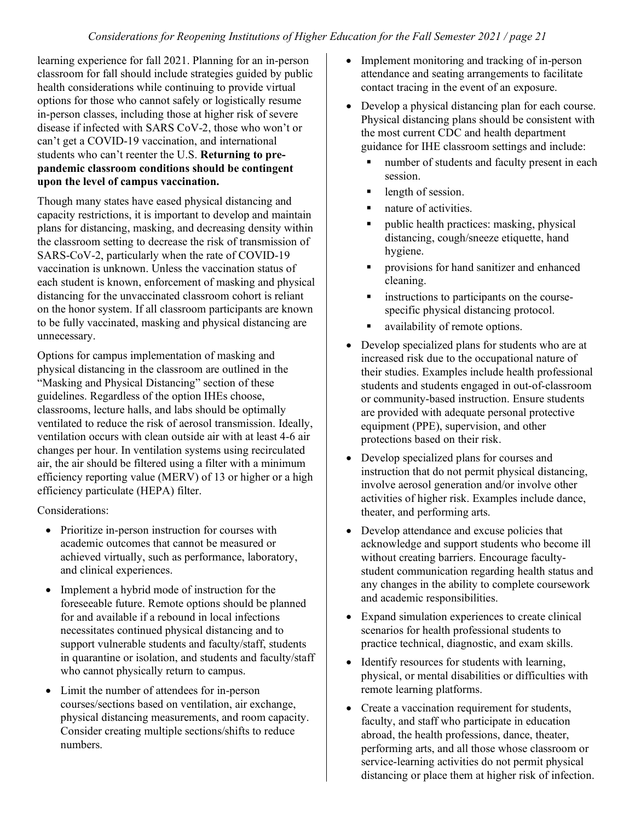learning experience for fall 2021. Planning for an in-person classroom for fall should include strategies guided by public health considerations while continuing to provide virtual options for those who cannot safely or logistically resume in-person classes, including those at higher risk of severe disease if infected with SARS CoV-2, those who won't or can't get a COVID-19 vaccination, and international students who can't reenter the U.S. **Returning to prepandemic classroom conditions should be contingent upon the level of campus vaccination.**

Though many states have eased physical distancing and capacity restrictions, it is important to develop and maintain plans for distancing, masking, and decreasing density within the classroom setting to decrease the risk of transmission of SARS-CoV-2, particularly when the rate of COVID-19 vaccination is unknown. Unless the vaccination status of each student is known, enforcement of masking and physical distancing for the unvaccinated classroom cohort is reliant on the honor system. If all classroom participants are known to be fully vaccinated, masking and physical distancing are unnecessary.

Options for campus implementation of masking and physical distancing in the classroom are outlined in the "Masking and Physical Distancing" section of these guidelines. Regardless of the option IHEs choose, classrooms, lecture halls, and labs should be optimally ventilated to reduce the risk of aerosol transmission. Ideally, ventilation occurs with clean outside air with at least 4-6 air changes per hour. In ventilation systems using recirculated air, the air should be filtered using a filter with a minimum efficiency reporting value (MERV) of 13 or higher or a high efficiency particulate (HEPA) filter.

Considerations:

- Prioritize in-person instruction for courses with academic outcomes that cannot be measured or achieved virtually, such as performance, laboratory, and clinical experiences.
- Implement a hybrid mode of instruction for the foreseeable future. Remote options should be planned for and available if a rebound in local infections necessitates continued physical distancing and to support vulnerable students and faculty/staff, students in quarantine or isolation, and students and faculty/staff who cannot physically return to campus.
- Limit the number of attendees for in-person courses/sections based on ventilation, air exchange, physical distancing measurements, and room capacity. Consider creating multiple sections/shifts to reduce numbers.
- Implement monitoring and tracking of in-person attendance and seating arrangements to facilitate contact tracing in the event of an exposure.
- Develop a physical distancing plan for each course. Physical distancing plans should be consistent with the most current CDC and health department guidance for IHE classroom settings and include:
	- number of students and faculty present in each session.
	- length of session.
	- nature of activities.
	- **public health practices: masking, physical** distancing, cough/sneeze etiquette, hand hygiene.
	- **•** provisions for hand sanitizer and enhanced cleaning.
	- **Exercise instructions to participants on the course**specific physical distancing protocol.
	- availability of remote options.
- Develop specialized plans for students who are at increased risk due to the occupational nature of their studies. Examples include health professional students and students engaged in out-of-classroom or community-based instruction. Ensure students are provided with adequate personal protective equipment (PPE), supervision, and other protections based on their risk.
- Develop specialized plans for courses and instruction that do not permit physical distancing, involve aerosol generation and/or involve other activities of higher risk. Examples include dance, theater, and performing arts.
- Develop attendance and excuse policies that acknowledge and support students who become ill without creating barriers. Encourage facultystudent communication regarding health status and any changes in the ability to complete coursework and academic responsibilities.
- Expand simulation experiences to create clinical scenarios for health professional students to practice technical, diagnostic, and exam skills.
- Identify resources for students with learning, physical, or mental disabilities or difficulties with remote learning platforms.
- Create a vaccination requirement for students, faculty, and staff who participate in education abroad, the health professions, dance, theater, performing arts, and all those whose classroom or service-learning activities do not permit physical distancing or place them at higher risk of infection.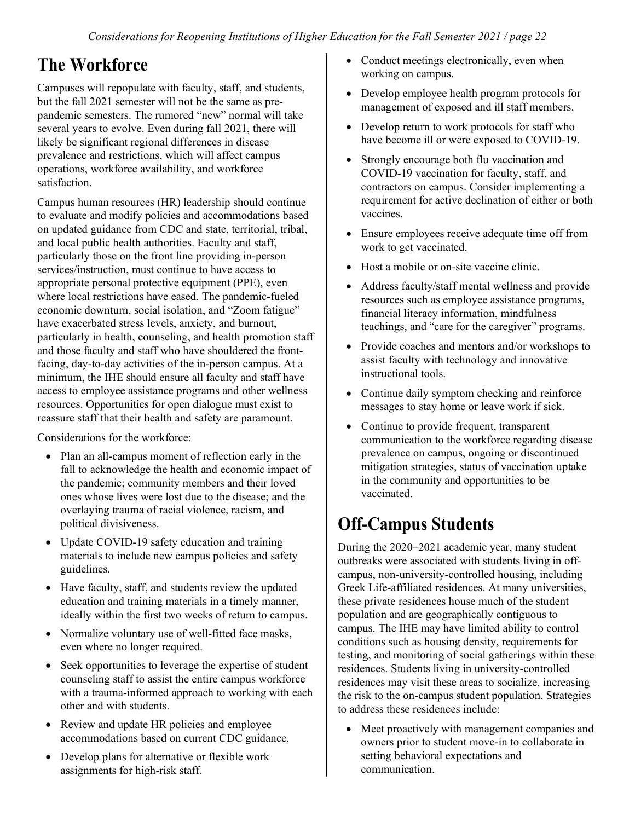## **The Workforce**

Campuses will repopulate with faculty, staff, and students, but the fall 2021 semester will not be the same as prepandemic semesters. The rumored "new" normal will take several years to evolve. Even during fall 2021, there will likely be significant regional differences in disease prevalence and restrictions, which will affect campus operations, workforce availability, and workforce satisfaction.

Campus human resources (HR) leadership should continue to evaluate and modify policies and accommodations based on updated guidance from CDC and state, territorial, tribal, and local public health authorities. Faculty and staff, particularly those on the front line providing in-person services/instruction, must continue to have access to appropriate personal protective equipment (PPE), even where local restrictions have eased. The pandemic-fueled economic downturn, social isolation, and "Zoom fatigue" have exacerbated stress levels, anxiety, and burnout, particularly in health, counseling, and health promotion staff and those faculty and staff who have shouldered the frontfacing, day-to-day activities of the in-person campus. At a minimum, the IHE should ensure all faculty and staff have access to employee assistance programs and other wellness resources. Opportunities for open dialogue must exist to reassure staff that their health and safety are paramount.

Considerations for the workforce:

- Plan an all-campus moment of reflection early in the fall to acknowledge the health and economic impact of the pandemic; community members and their loved ones whose lives were lost due to the disease; and the overlaying trauma of racial violence, racism, and political divisiveness.
- Update COVID-19 safety education and training materials to include new campus policies and safety guidelines.
- Have faculty, staff, and students review the updated education and training materials in a timely manner, ideally within the first two weeks of return to campus.
- Normalize voluntary use of well-fitted face masks, even where no longer required.
- Seek opportunities to leverage the expertise of student counseling staff to assist the entire campus workforce with a trauma-informed approach to working with each other and with students.
- Review and update HR policies and employee accommodations based on current CDC guidance.
- Develop plans for alternative or flexible work assignments for high-risk staff.
- Conduct meetings electronically, even when working on campus.
- Develop employee health program protocols for management of exposed and ill staff members.
- Develop return to work protocols for staff who have become ill or were exposed to COVID-19.
- Strongly encourage both flu vaccination and COVID-19 vaccination for faculty, staff, and contractors on campus. Consider implementing a requirement for active declination of either or both vaccines.
- Ensure employees receive adequate time off from work to get vaccinated.
- Host a mobile or on-site vaccine clinic.
- Address faculty/staff mental wellness and provide resources such as employee assistance programs, financial literacy information, mindfulness teachings, and "care for the caregiver" programs.
- Provide coaches and mentors and/or workshops to assist faculty with technology and innovative instructional tools.
- Continue daily symptom checking and reinforce messages to stay home or leave work if sick.
- Continue to provide frequent, transparent communication to the workforce regarding disease prevalence on campus, ongoing or discontinued mitigation strategies, status of vaccination uptake in the community and opportunities to be vaccinated.

## **Off-Campus Students**

During the 2020–2021 academic year, many student outbreaks were associated with students living in offcampus, non-university-controlled housing, including Greek Life-affiliated residences. At many universities, these private residences house much of the student population and are geographically contiguous to campus. The IHE may have limited ability to control conditions such as housing density, requirements for testing, and monitoring of social gatherings within these residences. Students living in university-controlled residences may visit these areas to socialize, increasing the risk to the on-campus student population. Strategies to address these residences include:

• Meet proactively with management companies and owners prior to student move-in to collaborate in setting behavioral expectations and communication.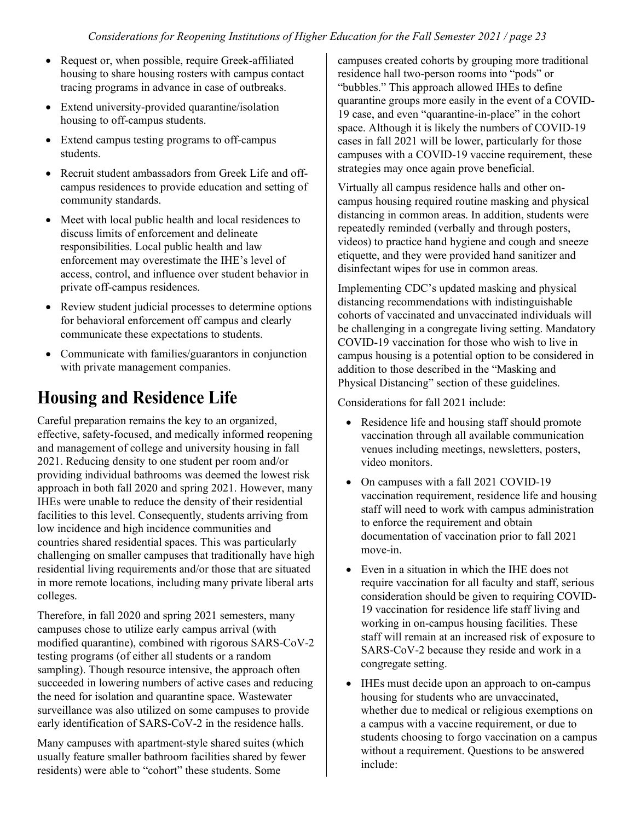- Request or, when possible, require Greek-affiliated housing to share housing rosters with campus contact tracing programs in advance in case of outbreaks.
- Extend university-provided quarantine/isolation housing to off-campus students.
- Extend campus testing programs to off-campus students.
- Recruit student ambassadors from Greek Life and offcampus residences to provide education and setting of community standards.
- Meet with local public health and local residences to discuss limits of enforcement and delineate responsibilities. Local public health and law enforcement may overestimate the IHE's level of access, control, and influence over student behavior in private off-campus residences.
- Review student judicial processes to determine options for behavioral enforcement off campus and clearly communicate these expectations to students.
- Communicate with families/guarantors in conjunction with private management companies.

## **Housing and Residence Life**

Careful preparation remains the key to an organized, effective, safety-focused, and medically informed reopening and management of college and university housing in fall 2021. Reducing density to one student per room and/or providing individual bathrooms was deemed the lowest risk approach in both fall 2020 and spring 2021. However, many IHEs were unable to reduce the density of their residential facilities to this level. Consequently, students arriving from low incidence and high incidence communities and countries shared residential spaces. This was particularly challenging on smaller campuses that traditionally have high residential living requirements and/or those that are situated in more remote locations, including many private liberal arts colleges.

Therefore, in fall 2020 and spring 2021 semesters, many campuses chose to utilize early campus arrival (with modified quarantine), combined with rigorous SARS-CoV-2 testing programs (of either all students or a random sampling). Though resource intensive, the approach often succeeded in lowering numbers of active cases and reducing the need for isolation and quarantine space. Wastewater surveillance was also utilized on some campuses to provide early identification of SARS-CoV-2 in the residence halls.

Many campuses with apartment-style shared suites (which usually feature smaller bathroom facilities shared by fewer residents) were able to "cohort" these students. Some

campuses created cohorts by grouping more traditional residence hall two-person rooms into "pods" or "bubbles." This approach allowed IHEs to define quarantine groups more easily in the event of a COVID-19 case, and even "quarantine-in-place" in the cohort space. Although it is likely the numbers of COVID-19 cases in fall 2021 will be lower, particularly for those campuses with a COVID-19 vaccine requirement, these strategies may once again prove beneficial.

Virtually all campus residence halls and other oncampus housing required routine masking and physical distancing in common areas. In addition, students were repeatedly reminded (verbally and through posters, videos) to practice hand hygiene and cough and sneeze etiquette, and they were provided hand sanitizer and disinfectant wipes for use in common areas.

Implementing CDC's updated masking and physical distancing recommendations with indistinguishable cohorts of vaccinated and unvaccinated individuals will be challenging in a congregate living setting. Mandatory COVID-19 vaccination for those who wish to live in campus housing is a potential option to be considered in addition to those described in the "Masking and Physical Distancing" section of these guidelines.

Considerations for fall 2021 include:

- Residence life and housing staff should promote vaccination through all available communication venues including meetings, newsletters, posters, video monitors.
- On campuses with a fall 2021 COVID-19 vaccination requirement, residence life and housing staff will need to work with campus administration to enforce the requirement and obtain documentation of vaccination prior to fall 2021 move-in.
- Even in a situation in which the IHE does not require vaccination for all faculty and staff, serious consideration should be given to requiring COVID-19 vaccination for residence life staff living and working in on-campus housing facilities. These staff will remain at an increased risk of exposure to SARS-CoV-2 because they reside and work in a congregate setting.
- IHEs must decide upon an approach to on-campus housing for students who are unvaccinated, whether due to medical or religious exemptions on a campus with a vaccine requirement, or due to students choosing to forgo vaccination on a campus without a requirement. Questions to be answered include: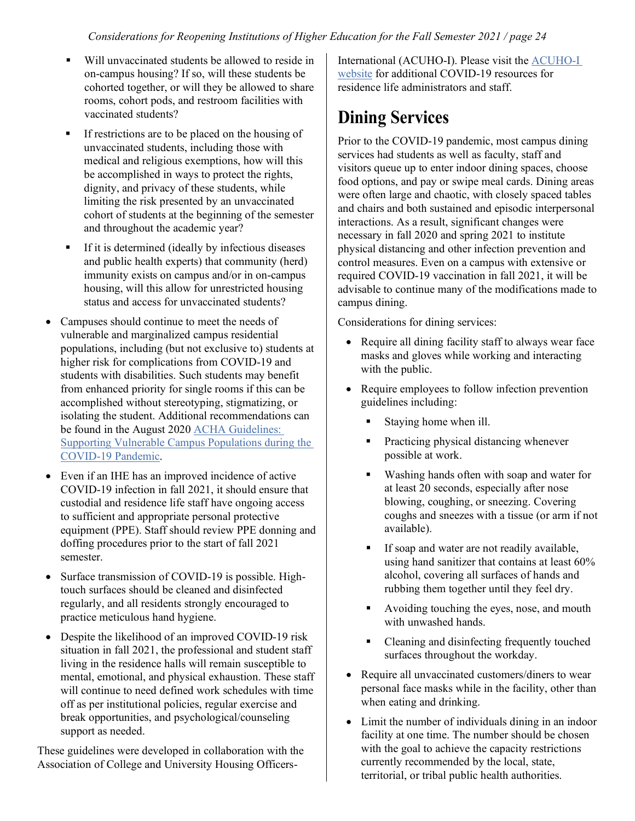- Will unvaccinated students be allowed to reside in on-campus housing? If so, will these students be cohorted together, or will they be allowed to share rooms, cohort pods, and restroom facilities with vaccinated students?
- If restrictions are to be placed on the housing of unvaccinated students, including those with medical and religious exemptions, how will this be accomplished in ways to protect the rights, dignity, and privacy of these students, while limiting the risk presented by an unvaccinated cohort of students at the beginning of the semester and throughout the academic year?
- If it is determined (ideally by infectious diseases and public health experts) that community (herd) immunity exists on campus and/or in on-campus housing, will this allow for unrestricted housing status and access for unvaccinated students?
- Campuses should continue to meet the needs of vulnerable and marginalized campus residential populations, including (but not exclusive to) students at higher risk for complications from COVID-19 and students with disabilities. Such students may benefit from enhanced priority for single rooms if this can be accomplished without stereotyping, stigmatizing, or isolating the student. Additional recommendations can be found in the August 202[0 ACHA Guidelines:](https://www.acha.org/documents/resources/guidelines/ACHA_Supporting_Vulnerable_Populations_During_the_COVID-19_Pandemic_August2020.pdf)  [Supporting Vulnerable Campus Populations during the](https://www.acha.org/documents/resources/guidelines/ACHA_Supporting_Vulnerable_Populations_During_the_COVID-19_Pandemic_August2020.pdf)  [COVID-19 Pandemic.](https://www.acha.org/documents/resources/guidelines/ACHA_Supporting_Vulnerable_Populations_During_the_COVID-19_Pandemic_August2020.pdf)
- Even if an IHE has an improved incidence of active COVID-19 infection in fall 2021, it should ensure that custodial and residence life staff have ongoing access to sufficient and appropriate personal protective equipment (PPE). Staff should review PPE donning and doffing procedures prior to the start of fall 2021 semester.
- Surface transmission of COVID-19 is possible. Hightouch surfaces should be cleaned and disinfected regularly, and all residents strongly encouraged to practice meticulous hand hygiene.
- Despite the likelihood of an improved COVID-19 risk situation in fall 2021, the professional and student staff living in the residence halls will remain susceptible to mental, emotional, and physical exhaustion. These staff will continue to need defined work schedules with time off as per institutional policies, regular exercise and break opportunities, and psychological/counseling support as needed.

These guidelines were developed in collaboration with the Association of College and University Housing Officers-

International (ACUHO-I). Please visit the [ACUHO-I](https://www.acuho-i.org/covid19)  [website](https://www.acuho-i.org/covid19) for additional COVID-19 resources for residence life administrators and staff.

## **Dining Services**

Prior to the COVID-19 pandemic, most campus dining services had students as well as faculty, staff and visitors queue up to enter indoor dining spaces, choose food options, and pay or swipe meal cards. Dining areas were often large and chaotic, with closely spaced tables and chairs and both sustained and episodic interpersonal interactions. As a result, significant changes were necessary in fall 2020 and spring 2021 to institute physical distancing and other infection prevention and control measures. Even on a campus with extensive or required COVID-19 vaccination in fall 2021, it will be advisable to continue many of the modifications made to campus dining.

Considerations for dining services:

- Require all dining facility staff to always wear face masks and gloves while working and interacting with the public.
- Require employees to follow infection prevention guidelines including:
	- Staying home when ill.
	- Practicing physical distancing whenever possible at work.
	- Washing hands often with soap and water for at least 20 seconds, especially after nose blowing, coughing, or sneezing. Covering coughs and sneezes with a tissue (or arm if not available).
	- If soap and water are not readily available, using hand sanitizer that contains at least 60% alcohol, covering all surfaces of hands and rubbing them together until they feel dry.
	- Avoiding touching the eyes, nose, and mouth with unwashed hands.
	- Cleaning and disinfecting frequently touched surfaces throughout the workday.
- Require all unvaccinated customers/diners to wear personal face masks while in the facility, other than when eating and drinking.
- Limit the number of individuals dining in an indoor facility at one time. The number should be chosen with the goal to achieve the capacity restrictions currently recommended by the local, state, territorial, or tribal public health authorities.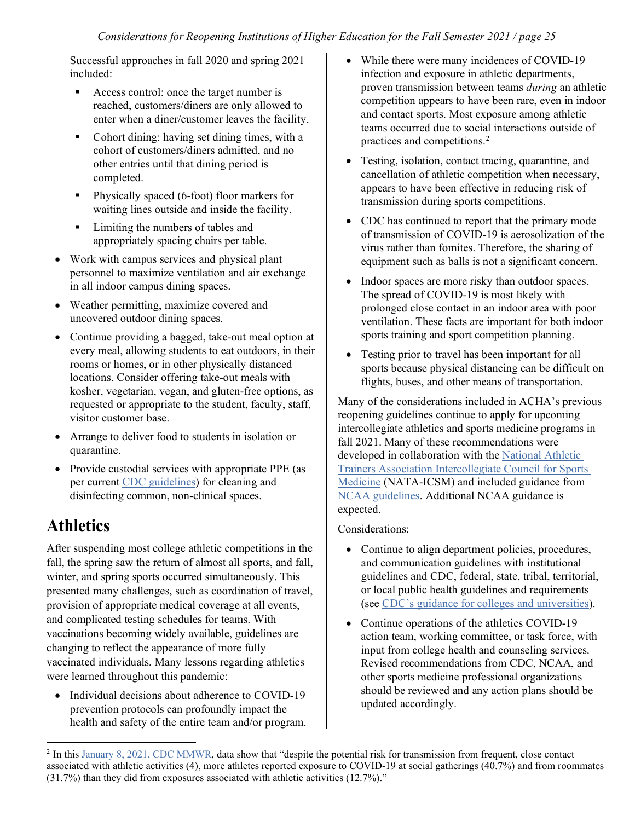Successful approaches in fall 2020 and spring 2021 included:

- Access control: once the target number is reached, customers/diners are only allowed to enter when a diner/customer leaves the facility.
- Cohort dining: having set dining times, with a cohort of customers/diners admitted, and no other entries until that dining period is completed.
- Physically spaced (6-foot) floor markers for waiting lines outside and inside the facility.
- Limiting the numbers of tables and appropriately spacing chairs per table.
- Work with campus services and physical plant personnel to maximize ventilation and air exchange in all indoor campus dining spaces.
- Weather permitting, maximize covered and uncovered outdoor dining spaces.
- Continue providing a bagged, take-out meal option at every meal, allowing students to eat outdoors, in their rooms or homes, or in other physically distanced locations. Consider offering take-out meals with kosher, vegetarian, vegan, and gluten-free options, as requested or appropriate to the student, faculty, staff, visitor customer base.
- Arrange to deliver food to students in isolation or quarantine.
- Provide custodial services with appropriate PPE (as per current [CDC guidelines\)](https://www.cdc.gov/coronavirus/2019-ncov/community/disinfecting-building-facility.html) for cleaning and disinfecting common, non-clinical spaces.

## **Athletics**

After suspending most college athletic competitions in the fall, the spring saw the return of almost all sports, and fall, winter, and spring sports occurred simultaneously. This presented many challenges, such as coordination of travel, provision of appropriate medical coverage at all events, and complicated testing schedules for teams. With vaccinations becoming widely available, guidelines are changing to reflect the appearance of more fully vaccinated individuals. Many lessons regarding athletics were learned throughout this pandemic:

• Individual decisions about adherence to COVID-19 prevention protocols can profoundly impact the health and safety of the entire team and/or program.

- While there were many incidences of COVID-19 infection and exposure in athletic departments, proven transmission between teams *during* an athletic competition appears to have been rare, even in indoor and contact sports. Most exposure among athletic teams occurred due to social interactions outside of practices and competitions.[2](#page-24-0)
- Testing, isolation, contact tracing, quarantine, and cancellation of athletic competition when necessary, appears to have been effective in reducing risk of transmission during sports competitions.
- CDC has continued to report that the primary mode of transmission of COVID-19 is aerosolization of the virus rather than fomites. Therefore, the sharing of equipment such as balls is not a significant concern.
- Indoor spaces are more risky than outdoor spaces. The spread of COVID-19 is most likely with prolonged close contact in an indoor area with poor ventilation. These facts are important for both indoor sports training and sport competition planning.
- Testing prior to travel has been important for all sports because physical distancing can be difficult on flights, buses, and other means of transportation.

Many of the considerations included in ACHA's previous reopening guidelines continue to apply for upcoming intercollegiate athletics and sports medicine programs in fall 2021. Many of these recommendations were developed in collaboration with the [National Athletic](https://www.nata.org/professional-interests/job-settings/college-university)  [Trainers Association Intercollegiate Council for Sports](https://www.nata.org/professional-interests/job-settings/college-university)  [Medicine](https://www.nata.org/professional-interests/job-settings/college-university) (NATA-ICSM) and included guidance from [NCAA guidelines.](https://ncaaorg.s3.amazonaws.com/ssi/COVID/SSI_ResocializationDevelopingStandardsSecondEdition.pdf) Additional NCAA guidance is expected.

#### Considerations:

- Continue to align department policies, procedures, and communication guidelines with institutional guidelines and CDC, federal, state, tribal, territorial, or local public health guidelines and requirements (see [CDC's guidance for colleges and universities\)](https://www.cdc.gov/coronavirus/2019-ncov/community/colleges-universities/considerations.html).
- Continue operations of the athletics COVID-19 action team, working committee, or task force, with input from college health and counseling services. Revised recommendations from CDC, NCAA, and other sports medicine professional organizations should be reviewed and any action plans should be updated accordingly.

<span id="page-24-0"></span> $^2$  In thi[s January 8, 2021, CDC MMWR,](https://www.cdc.gov/mmwr/volumes/70/wr/mm7001a2.htm?s_cid=mm7001a2_w) data show that "despite the potential risk for transmission from frequent, close contact associated with athletic activities (4), more athletes reported exposure to COVID-19 at social gatherings (40.7%) and from roommates (31.7%) than they did from exposures associated with athletic activities (12.7%)."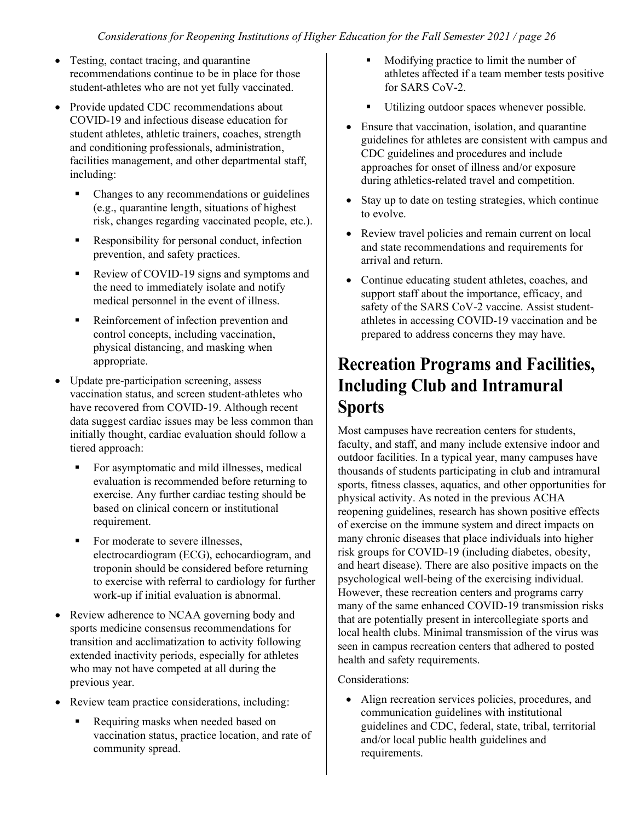- Testing, contact tracing, and quarantine recommendations continue to be in place for those student-athletes who are not yet fully vaccinated.
- Provide updated CDC recommendations about COVID-19 and infectious disease education for student athletes, athletic trainers, coaches, strength and conditioning professionals, administration, facilities management, and other departmental staff, including:
	- Changes to any recommendations or guidelines (e.g., quarantine length, situations of highest risk, changes regarding vaccinated people, etc.).
	- Responsibility for personal conduct, infection prevention, and safety practices.
	- Review of COVID-19 signs and symptoms and the need to immediately isolate and notify medical personnel in the event of illness.
	- Reinforcement of infection prevention and control concepts, including vaccination, physical distancing, and masking when appropriate.
- Update pre-participation screening, assess vaccination status, and screen student-athletes who have recovered from COVID-19. Although recent data suggest cardiac issues may be less common than initially thought, cardiac evaluation should follow a tiered approach:
	- For asymptomatic and mild illnesses, medical evaluation is recommended before returning to exercise. Any further cardiac testing should be based on clinical concern or institutional requirement.
	- For moderate to severe illnesses, electrocardiogram (ECG), echocardiogram, and troponin should be considered before returning to exercise with referral to cardiology for further work-up if initial evaluation is abnormal.
- Review adherence to NCAA governing body and sports medicine consensus recommendations for transition and acclimatization to activity following extended inactivity periods, especially for athletes who may not have competed at all during the previous year.
- Review team practice considerations, including:
	- Requiring masks when needed based on vaccination status, practice location, and rate of community spread.
- Modifying practice to limit the number of athletes affected if a team member tests positive for SARS CoV-2.
- Utilizing outdoor spaces whenever possible.
- Ensure that vaccination, isolation, and quarantine guidelines for athletes are consistent with campus and CDC guidelines and procedures and include approaches for onset of illness and/or exposure during athletics-related travel and competition.
- Stay up to date on testing strategies, which continue to evolve.
- Review travel policies and remain current on local and state recommendations and requirements for arrival and return.
- Continue educating student athletes, coaches, and support staff about the importance, efficacy, and safety of the SARS CoV-2 vaccine. Assist studentathletes in accessing COVID-19 vaccination and be prepared to address concerns they may have.

### **Recreation Programs and Facilities, Including Club and Intramural Sports**

Most campuses have recreation centers for students, faculty, and staff, and many include extensive indoor and outdoor facilities. In a typical year, many campuses have thousands of students participating in club and intramural sports, fitness classes, aquatics, and other opportunities for physical activity. As noted in the previous ACHA reopening guidelines, research has shown positive effects of exercise on the immune system and direct impacts on many chronic diseases that place individuals into higher risk groups for COVID-19 (including diabetes, obesity, and heart disease). There are also positive impacts on the psychological well-being of the exercising individual. However, these recreation centers and programs carry many of the same enhanced COVID-19 transmission risks that are potentially present in intercollegiate sports and local health clubs. Minimal transmission of the virus was seen in campus recreation centers that adhered to posted health and safety requirements.

#### Considerations:

• Align recreation services policies, procedures, and communication guidelines with institutional guidelines and CDC, federal, state, tribal, territorial and/or local public health guidelines and requirements.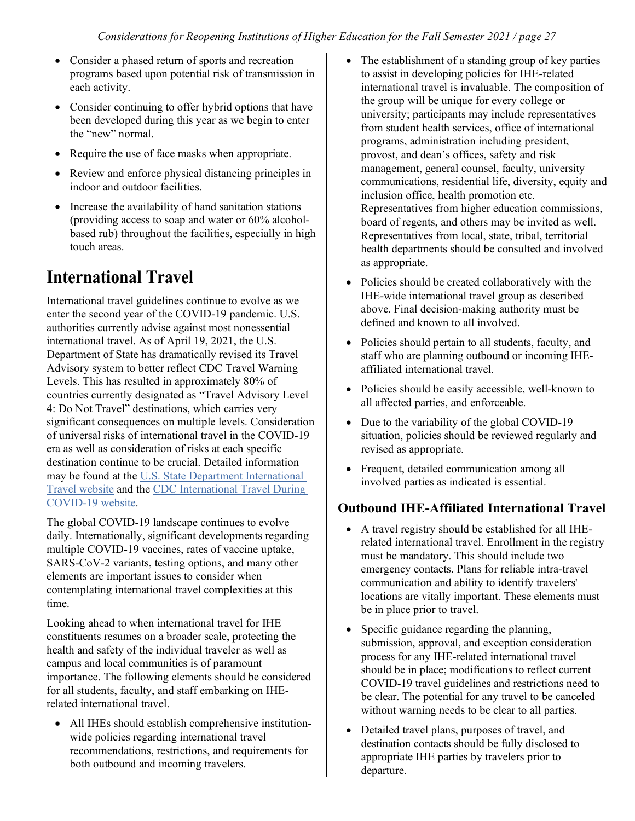- Consider a phased return of sports and recreation programs based upon potential risk of transmission in each activity.
- Consider continuing to offer hybrid options that have been developed during this year as we begin to enter the "new" normal.
- Require the use of face masks when appropriate.
- Review and enforce physical distancing principles in indoor and outdoor facilities.
- Increase the availability of hand sanitation stations (providing access to soap and water or 60% alcoholbased rub) throughout the facilities, especially in high touch areas.

### **International Travel**

International travel guidelines continue to evolve as we enter the second year of the COVID-19 pandemic. U.S. authorities currently advise against most nonessential international travel. As of April 19, 2021, the U.S. Department of State has dramatically revised its Travel Advisory system to better reflect CDC Travel Warning Levels. This has resulted in approximately 80% of countries currently designated as "Travel Advisory Level 4: Do Not Travel" destinations, which carries very significant consequences on multiple levels. Consideration of universal risks of international travel in the COVID-19 era as well as consideration of risks at each specific destination continue to be crucial. Detailed information may be found at the [U.S. State Department International](https://travel.state.gov/content/travel/en/international-travel.html)  [Travel website](https://travel.state.gov/content/travel/en/international-travel.html) and the [CDC International Travel During](https://www.cdc.gov/coronavirus/2019-ncov/travelers/international-travel-during-covid19.html)  [COVID-19 website.](https://www.cdc.gov/coronavirus/2019-ncov/travelers/international-travel-during-covid19.html)

The global COVID-19 landscape continues to evolve daily. Internationally, significant developments regarding multiple COVID-19 vaccines, rates of vaccine uptake, SARS-CoV-2 variants, testing options, and many other elements are important issues to consider when contemplating international travel complexities at this time.

Looking ahead to when international travel for IHE constituents resumes on a broader scale, protecting the health and safety of the individual traveler as well as campus and local communities is of paramount importance. The following elements should be considered for all students, faculty, and staff embarking on IHErelated international travel.

• All IHEs should establish comprehensive institutionwide policies regarding international travel recommendations, restrictions, and requirements for both outbound and incoming travelers.

- The establishment of a standing group of key parties to assist in developing policies for IHE-related international travel is invaluable. The composition of the group will be unique for every college or university; participants may include representatives from student health services, office of international programs, administration including president, provost, and dean's offices, safety and risk management, general counsel, faculty, university communications, residential life, diversity, equity and inclusion office, health promotion etc. Representatives from higher education commissions, board of regents, and others may be invited as well. Representatives from local, state, tribal, territorial health departments should be consulted and involved as appropriate.
- Policies should be created collaboratively with the IHE-wide international travel group as described above. Final decision-making authority must be defined and known to all involved.
- Policies should pertain to all students, faculty, and staff who are planning outbound or incoming IHEaffiliated international travel.
- Policies should be easily accessible, well-known to all affected parties, and enforceable.
- Due to the variability of the global COVID-19 situation, policies should be reviewed regularly and revised as appropriate.
- Frequent, detailed communication among all involved parties as indicated is essential.

#### **Outbound IHE-Affiliated International Travel**

- A travel registry should be established for all IHErelated international travel. Enrollment in the registry must be mandatory. This should include two emergency contacts. Plans for reliable intra-travel communication and ability to identify travelers' locations are vitally important. These elements must be in place prior to travel.
- Specific guidance regarding the planning, submission, approval, and exception consideration process for any IHE-related international travel should be in place; modifications to reflect current COVID-19 travel guidelines and restrictions need to be clear. The potential for any travel to be canceled without warning needs to be clear to all parties.
- Detailed travel plans, purposes of travel, and destination contacts should be fully disclosed to appropriate IHE parties by travelers prior to departure.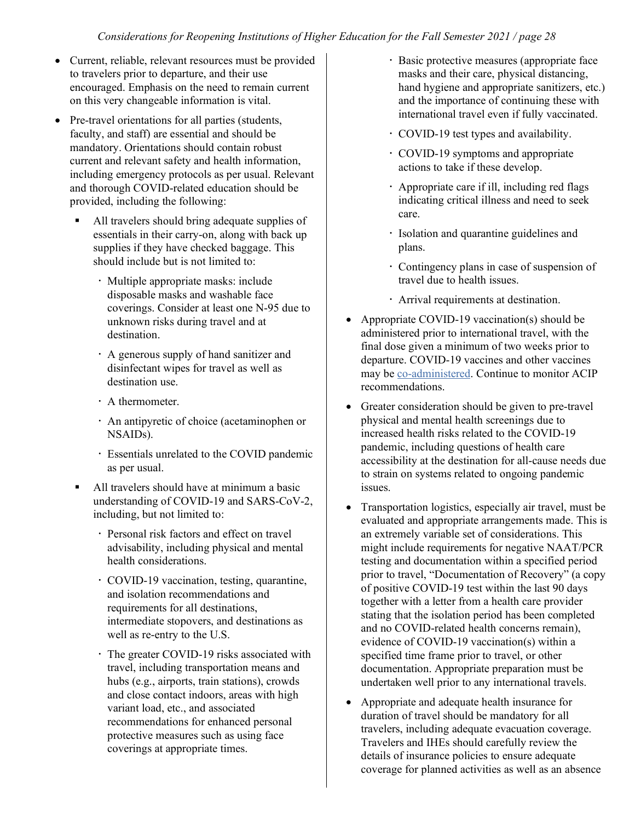- Current, reliable, relevant resources must be provided to travelers prior to departure, and their use encouraged. Emphasis on the need to remain current on this very changeable information is vital.
- Pre-travel orientations for all parties (students, faculty, and staff) are essential and should be mandatory. Orientations should contain robust current and relevant safety and health information, including emergency protocols as per usual. Relevant and thorough COVID-related education should be provided, including the following:
	- All travelers should bring adequate supplies of essentials in their carry-on, along with back up supplies if they have checked baggage. This should include but is not limited to:
		- Multiple appropriate masks: include disposable masks and washable face coverings. Consider at least one N-95 due to unknown risks during travel and at destination.
		- A generous supply of hand sanitizer and disinfectant wipes for travel as well as destination use.
		- A thermometer.
		- An antipyretic of choice (acetaminophen or NSAIDs).
		- Essentials unrelated to the COVID pandemic as per usual.
	- All travelers should have at minimum a basic understanding of COVID-19 and SARS-CoV-2, including, but not limited to:
		- Personal risk factors and effect on travel advisability, including physical and mental health considerations.
		- COVID-19 vaccination, testing, quarantine, and isolation recommendations and requirements for all destinations, intermediate stopovers, and destinations as well as re-entry to the U.S.
		- The greater COVID-19 risks associated with travel, including transportation means and hubs (e.g., airports, train stations), crowds and close contact indoors, areas with high variant load, etc., and associated recommendations for enhanced personal protective measures such as using face coverings at appropriate times.
- Basic protective measures (appropriate face masks and their care, physical distancing, hand hygiene and appropriate sanitizers, etc.) and the importance of continuing these with international travel even if fully vaccinated.
- COVID-19 test types and availability.
- COVID-19 symptoms and appropriate actions to take if these develop.
- Appropriate care if ill, including red flags indicating critical illness and need to seek care.
- Isolation and quarantine guidelines and plans.
- Contingency plans in case of suspension of travel due to health issues.
- Arrival requirements at destination.
- Appropriate COVID-19 vaccination(s) should be administered prior to international travel, with the final dose given a minimum of two weeks prior to departure. COVID-19 vaccines and other vaccines may be [co-administered.](https://www.cdc.gov/vaccines/covid-19/info-by-product/clinical-considerations.html#Coadministration) Continue to monitor ACIP recommendations.
- Greater consideration should be given to pre-travel physical and mental health screenings due to increased health risks related to the COVID-19 pandemic, including questions of health care accessibility at the destination for all-cause needs due to strain on systems related to ongoing pandemic issues.
- Transportation logistics, especially air travel, must be evaluated and appropriate arrangements made. This is an extremely variable set of considerations. This might include requirements for negative NAAT/PCR testing and documentation within a specified period prior to travel, "Documentation of Recovery" (a copy of positive COVID-19 test within the last 90 days together with a letter from a health care provider stating that the isolation period has been completed and no COVID-related health concerns remain), evidence of COVID-19 vaccination(s) within a specified time frame prior to travel, or other documentation. Appropriate preparation must be undertaken well prior to any international travels.
- Appropriate and adequate health insurance for duration of travel should be mandatory for all travelers, including adequate evacuation coverage. Travelers and IHEs should carefully review the details of insurance policies to ensure adequate coverage for planned activities as well as an absence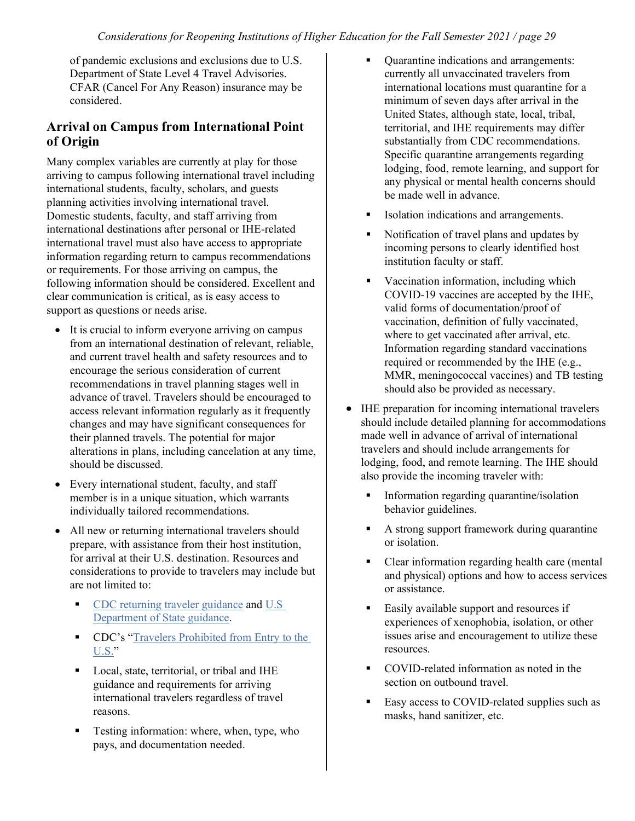of pandemic exclusions and exclusions due to U.S. Department of State Level 4 Travel Advisories. CFAR (Cancel For Any Reason) insurance may be considered.

#### **Arrival on Campus from International Point of Origin**

Many complex variables are currently at play for those arriving to campus following international travel including international students, faculty, scholars, and guests planning activities involving international travel. Domestic students, faculty, and staff arriving from international destinations after personal or IHE-related international travel must also have access to appropriate information regarding return to campus recommendations or requirements. For those arriving on campus, the following information should be considered. Excellent and clear communication is critical, as is easy access to support as questions or needs arise.

- It is crucial to inform everyone arriving on campus from an international destination of relevant, reliable, and current travel health and safety resources and to encourage the serious consideration of current recommendations in travel planning stages well in advance of travel. Travelers should be encouraged to access relevant information regularly as it frequently changes and may have significant consequences for their planned travels. The potential for major alterations in plans, including cancelation at any time, should be discussed.
- Every international student, faculty, and staff member is in a unique situation, which warrants individually tailored recommendations.
- All new or returning international travelers should prepare, with assistance from their host institution, for arrival at their U.S. destination. Resources and considerations to provide to travelers may include but are not limited to:
	- [CDC returning traveler guidance](https://www.cdc.gov/coronavirus/2019-ncov/travelers/after-travel-precautions.html) and [U.S](https://travel.state.gov/content/travel/en/international-travel.html)  [Department of State guidance.](https://travel.state.gov/content/travel/en/international-travel.html)
	- **CDC's "Travelers Prohibited from Entry to the** [U.S."](https://www.cdc.gov/coronavirus/2019-ncov/travelers/from-other-countries.html)
	- Local, state, territorial, or tribal and IHE guidance and requirements for arriving international travelers regardless of travel reasons.
	- Testing information: where, when, type, who pays, and documentation needed.
- Quarantine indications and arrangements: currently all unvaccinated travelers from international locations must quarantine for a minimum of seven days after arrival in the United States, although state, local, tribal, territorial, and IHE requirements may differ substantially from CDC recommendations. Specific quarantine arrangements regarding lodging, food, remote learning, and support for any physical or mental health concerns should be made well in advance.
- Isolation indications and arrangements.
- Notification of travel plans and updates by incoming persons to clearly identified host institution faculty or staff.
- Vaccination information, including which COVID-19 vaccines are accepted by the IHE, valid forms of documentation/proof of vaccination, definition of fully vaccinated, where to get vaccinated after arrival, etc. Information regarding standard vaccinations required or recommended by the IHE (e.g., MMR, meningococcal vaccines) and TB testing should also be provided as necessary.
- IHE preparation for incoming international travelers should include detailed planning for accommodations made well in advance of arrival of international travelers and should include arrangements for lodging, food, and remote learning. The IHE should also provide the incoming traveler with:
	- **Information regarding quarantine/isolation** behavior guidelines.
	- A strong support framework during quarantine or isolation.
	- Clear information regarding health care (mental and physical) options and how to access services or assistance.
	- Easily available support and resources if experiences of xenophobia, isolation, or other issues arise and encouragement to utilize these resources.
	- COVID-related information as noted in the section on outbound travel.
	- Easy access to COVID-related supplies such as masks, hand sanitizer, etc.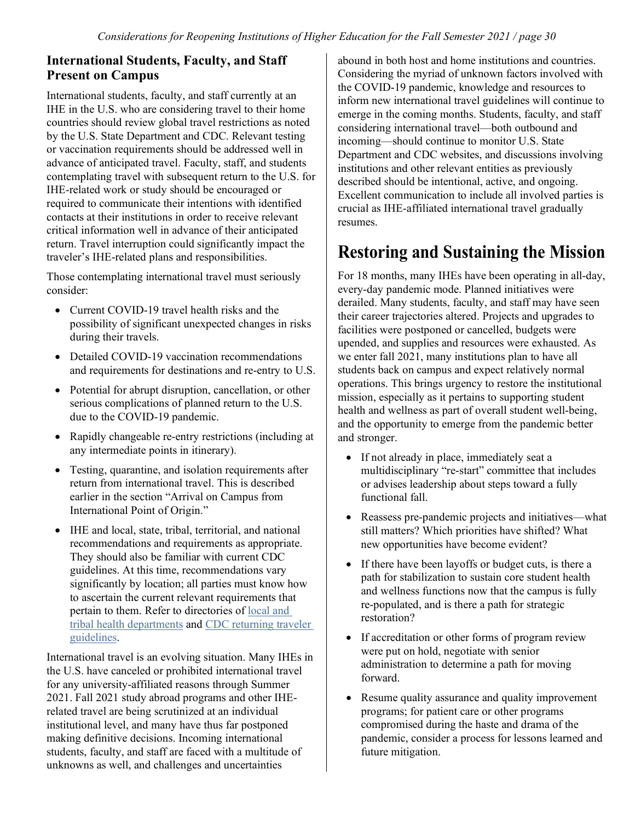#### **International Students, Faculty, and Staff Present on Campus**

International students, faculty, and staff currently at an IHE in the U.S. who are considering travel to their home countries should review global travel restrictions as noted by the U.S. State Department and CDC. Relevant testing or vaccination requirements should be addressed well in advance of anticipated travel. Faculty, staff, and students contemplating travel with subsequent return to the U.S. for IHE-related work or study should be encouraged or required to communicate their intentions with identified contacts at their institutions in order to receive relevant critical information well in advance of their anticipated return. Travel interruption could significantly impact the traveler's IHE-related plans and responsibilities.

Those contemplating international travel must seriously consider:

- Current COVID-19 travel health risks and the possibility of significant unexpected changes in risks during their travels.
- Detailed COVID-19 vaccination recommendations and requirements for destinations and re-entry to U.S.
- Potential for abrupt disruption, cancellation, or other serious complications of planned return to the U.S. due to the COVID-19 pandemic.
- Rapidly changeable re-entry restrictions (including at any intermediate points in itinerary).
- Testing, quarantine, and isolation requirements after return from international travel. This is described earlier in the section "Arrival on Campus from International Point of Origin."
- IHE and local, state, tribal, territorial, and national recommendations and requirements as appropriate. They should also be familiar with current CDC guidelines. At this time, recommendations vary significantly by location; all parties must know how to ascertain the current relevant requirements that pertain to them. Refer to directories of [local and](https://www.cdc.gov/publichealthgateway/healthdirectories/healthdepartments.html)  [tribal health departments](https://www.cdc.gov/publichealthgateway/healthdirectories/healthdepartments.html) and [CDC returning traveler](https://www.cdc.gov/coronavirus/2019-ncov/travelers/after-travel-precautions.html)  [guidelines.](https://www.cdc.gov/coronavirus/2019-ncov/travelers/after-travel-precautions.html)

International travel is an evolving situation. Many IHEs in the U.S. have canceled or prohibited international travel for any university-affiliated reasons through Summer 2021. Fall 2021 study abroad programs and other IHErelated travel are being scrutinized at an individual institutional level, and many have thus far postponed making definitive decisions. Incoming international students, faculty, and staff are faced with a multitude of unknowns as well, and challenges and uncertainties

abound in both host and home institutions and countries. Considering the myriad of unknown factors involved with the COVID-19 pandemic, knowledge and resources to inform new international travel guidelines will continue to emerge in the coming months. Students, faculty, and staff considering international travel—both outbound and incoming—should continue to monitor U.S. State Department and CDC websites, and discussions involving institutions and other relevant entities as previously described should be intentional, active, and ongoing. Excellent communication to include all involved parties is crucial as IHE-affiliated international travel gradually resumes.

## **Restoring and Sustaining the Mission**

For 18 months, many IHEs have been operating in all-day, every-day pandemic mode. Planned initiatives were derailed. Many students, faculty, and staff may have seen their career trajectories altered. Projects and upgrades to facilities were postponed or cancelled, budgets were upended, and supplies and resources were exhausted. As we enter fall 2021, many institutions plan to have all students back on campus and expect relatively normal operations. This brings urgency to restore the institutional mission, especially as it pertains to supporting student health and wellness as part of overall student well-being, and the opportunity to emerge from the pandemic better and stronger.

- If not already in place, immediately seat a multidisciplinary "re-start" committee that includes or advises leadership about steps toward a fully functional fall.
- Reassess pre-pandemic projects and initiatives—what still matters? Which priorities have shifted? What new opportunities have become evident?
- If there have been layoffs or budget cuts, is there a path for stabilization to sustain core student health and wellness functions now that the campus is fully re-populated, and is there a path for strategic restoration?
- If accreditation or other forms of program review were put on hold, negotiate with senior administration to determine a path for moving forward.
- Resume quality assurance and quality improvement programs; for patient care or other programs compromised during the haste and drama of the pandemic, consider a process for lessons learned and future mitigation.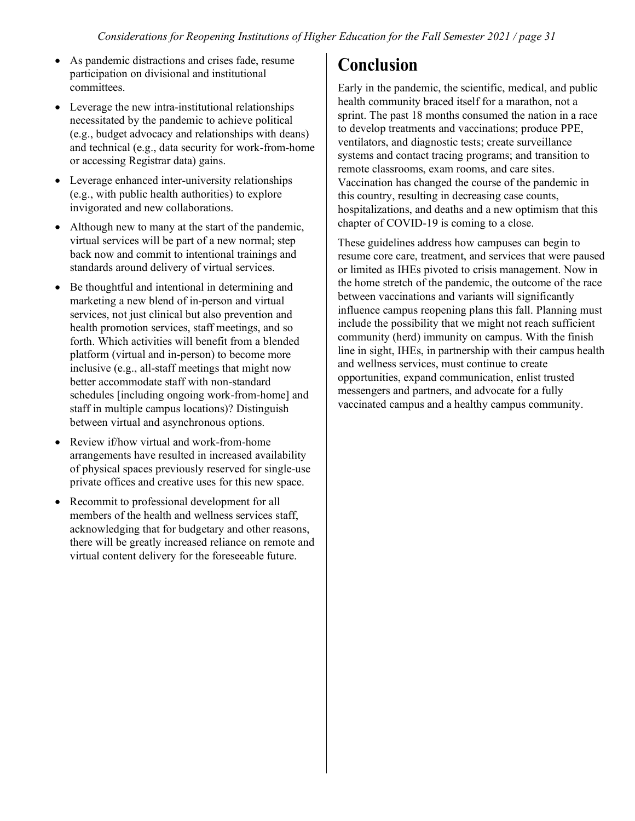- As pandemic distractions and crises fade, resume participation on divisional and institutional committees.
- Leverage the new intra-institutional relationships necessitated by the pandemic to achieve political (e.g., budget advocacy and relationships with deans) and technical (e.g., data security for work-from-home or accessing Registrar data) gains.
- Leverage enhanced inter-university relationships (e.g., with public health authorities) to explore invigorated and new collaborations.
- Although new to many at the start of the pandemic, virtual services will be part of a new normal; step back now and commit to intentional trainings and standards around delivery of virtual services.
- Be thoughtful and intentional in determining and marketing a new blend of in-person and virtual services, not just clinical but also prevention and health promotion services, staff meetings, and so forth. Which activities will benefit from a blended platform (virtual and in-person) to become more inclusive (e.g., all-staff meetings that might now better accommodate staff with non-standard schedules [including ongoing work-from-home] and staff in multiple campus locations)? Distinguish between virtual and asynchronous options.
- Review if/how virtual and work-from-home arrangements have resulted in increased availability of physical spaces previously reserved for single-use private offices and creative uses for this new space.
- Recommit to professional development for all members of the health and wellness services staff, acknowledging that for budgetary and other reasons, there will be greatly increased reliance on remote and virtual content delivery for the foreseeable future.

### **Conclusion**

Early in the pandemic, the scientific, medical, and public health community braced itself for a marathon, not a sprint. The past 18 months consumed the nation in a race to develop treatments and vaccinations; produce PPE, ventilators, and diagnostic tests; create surveillance systems and contact tracing programs; and transition to remote classrooms, exam rooms, and care sites. Vaccination has changed the course of the pandemic in this country, resulting in decreasing case counts, hospitalizations, and deaths and a new optimism that this chapter of COVID-19 is coming to a close.

These guidelines address how campuses can begin to resume core care, treatment, and services that were paused or limited as IHEs pivoted to crisis management. Now in the home stretch of the pandemic, the outcome of the race between vaccinations and variants will significantly influence campus reopening plans this fall. Planning must include the possibility that we might not reach sufficient community (herd) immunity on campus. With the finish line in sight, IHEs, in partnership with their campus health and wellness services, must continue to create opportunities, expand communication, enlist trusted messengers and partners, and advocate for a fully vaccinated campus and a healthy campus community.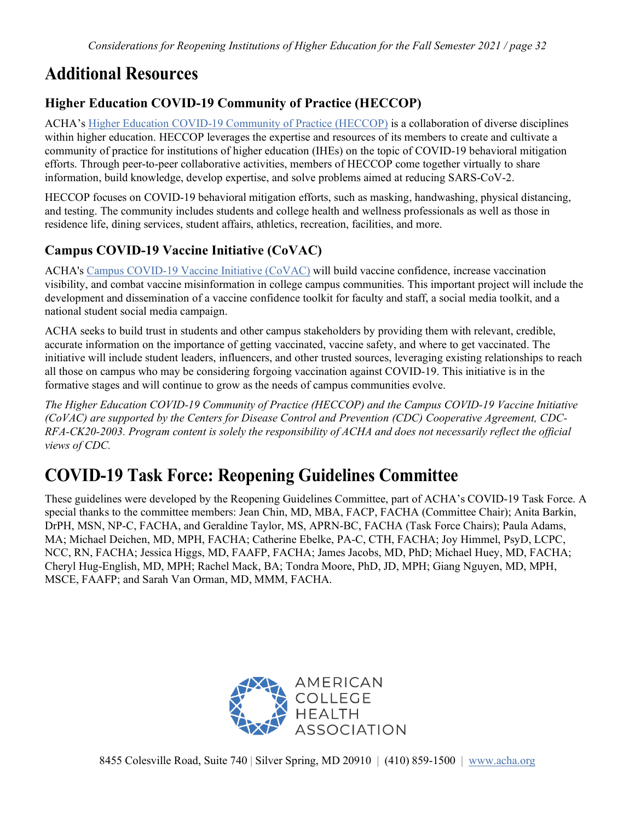### **Additional Resources**

#### **Higher Education COVID-19 Community of Practice (HECCOP)**

ACHA's [Higher Education COVID-19 Community of Practice \(HECCOP\)](https://www.acha.org/heccop) is a collaboration of diverse disciplines within higher education. HECCOP leverages the expertise and resources of its members to create and cultivate a community of practice for institutions of higher education (IHEs) on the topic of COVID-19 behavioral mitigation efforts. Through peer-to-peer collaborative activities, members of HECCOP come together virtually to share information, build knowledge, develop expertise, and solve problems aimed at reducing SARS-CoV-2.

HECCOP focuses on COVID-19 behavioral mitigation efforts, such as masking, handwashing, physical distancing, and testing. The community includes students and college health and wellness professionals as well as those in residence life, dining services, student affairs, athletics, recreation, facilities, and more.

### **Campus COVID-19 Vaccine Initiative (CoVAC)**

ACHA's [Campus COVID-19 Vaccine Initiative \(CoVAC\)](https://www.acha.org/ACHA/Resources/COVID-19_Novel_Coronavirus/Campus_COVID-19_Vaccine_Initiative/ACHA/Resources/Topics/CoVAC.aspx) will build vaccine confidence, increase vaccination visibility, and combat vaccine misinformation in college campus communities. This important project will include the development and dissemination of a vaccine confidence toolkit for faculty and staff, a social media toolkit, and a national student social media campaign.

ACHA seeks to build trust in students and other campus stakeholders by providing them with relevant, credible, accurate information on the importance of getting vaccinated, vaccine safety, and where to get vaccinated. The initiative will include student leaders, influencers, and other trusted sources, leveraging existing relationships to reach all those on campus who may be considering forgoing vaccination against COVID-19. This initiative is in the formative stages and will continue to grow as the needs of campus communities evolve.

*The Higher Education COVID-19 Community of Practice (HECCOP) and the Campus COVID-19 Vaccine Initiative (CoVAC) are supported by the Centers for Disease Control and Prevention (CDC) Cooperative Agreement, CDC-RFA-CK20-2003. Program content is solely the responsibility of ACHA and does not necessarily reflect the official views of CDC.*

## **COVID-19 Task Force: Reopening Guidelines Committee**

These guidelines were developed by the Reopening Guidelines Committee, part of ACHA's COVID-19 Task Force. A special thanks to the committee members: Jean Chin, MD, MBA, FACP, FACHA (Committee Chair); Anita Barkin, DrPH, MSN, NP-C, FACHA, and Geraldine Taylor, MS, APRN-BC, FACHA (Task Force Chairs); Paula Adams, MA; Michael Deichen, MD, MPH, FACHA; Catherine Ebelke, PA-C, CTH, FACHA; Joy Himmel, PsyD, LCPC, NCC, RN, FACHA; Jessica Higgs, MD, FAAFP, FACHA; James Jacobs, MD, PhD; Michael Huey, MD, FACHA; Cheryl Hug-English, MD, MPH; Rachel Mack, BA; Tondra Moore, PhD, JD, MPH; Giang Nguyen, MD, MPH, MSCE, FAAFP; and Sarah Van Orman, MD, MMM, FACHA.

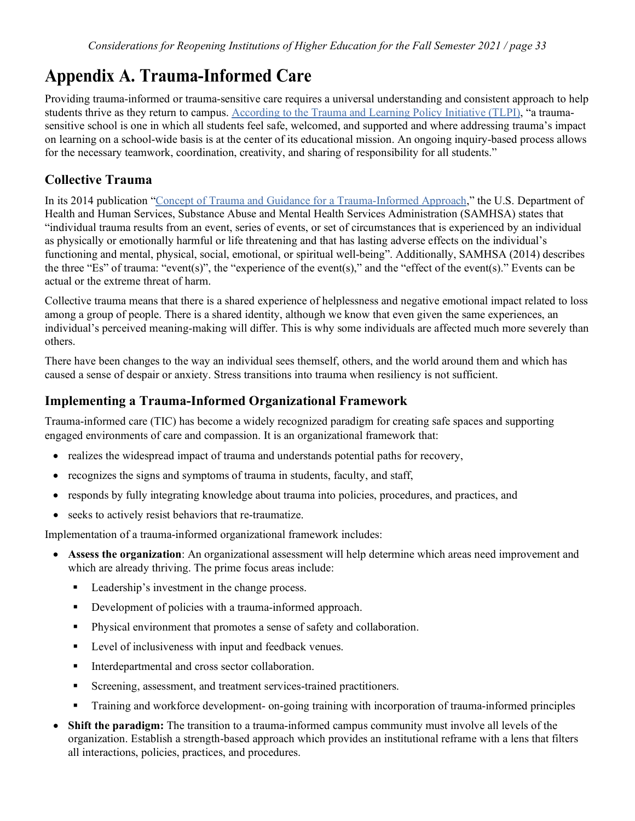## **Appendix A. Trauma-Informed Care**

Providing trauma-informed or trauma-sensitive care requires a universal understanding and consistent approach to help students thrive as they return to campus. [According to the Trauma and Learning Policy Initiative \(TLPI\),](https://traumasensitiveschools.org/frequently-asked-questions/) "a traumasensitive school is one in which all students feel safe, welcomed, and supported and where addressing trauma's impact on learning on a school-wide basis is at the center of its educational mission. An ongoing inquiry-based process allows for the necessary teamwork, coordination, creativity, and sharing of responsibility for all students."

#### **Collective Trauma**

In its 2014 publication ["Concept of Trauma and Guidance for a Trauma-Informed Approach,](https://ncsacw.samhsa.gov/userfiles/files/SAMHSA_Trauma.pdf)" the U.S. Department of Health and Human Services, Substance Abuse and Mental Health Services Administration (SAMHSA) states that "individual trauma results from an event, series of events, or set of circumstances that is experienced by an individual as physically or emotionally harmful or life threatening and that has lasting adverse effects on the individual's functioning and mental, physical, social, emotional, or spiritual well-being". Additionally, SAMHSA (2014) describes the three "Es" of trauma: "event(s)", the "experience of the event(s)," and the "effect of the event(s)." Events can be actual or the extreme threat of harm.

Collective trauma means that there is a shared experience of helplessness and negative emotional impact related to loss among a group of people. There is a shared identity, although we know that even given the same experiences, an individual's perceived meaning-making will differ. This is why some individuals are affected much more severely than others.

There have been changes to the way an individual sees themself, others, and the world around them and which has caused a sense of despair or anxiety. Stress transitions into trauma when resiliency is not sufficient.

#### **Implementing a Trauma-Informed Organizational Framework**

Trauma-informed care (TIC) has become a widely recognized paradigm for creating safe spaces and supporting engaged environments of care and compassion. It is an organizational framework that:

- realizes the widespread impact of trauma and understands potential paths for recovery,
- recognizes the signs and symptoms of trauma in students, faculty, and staff,
- responds by fully integrating knowledge about trauma into policies, procedures, and practices, and
- seeks to actively resist behaviors that re-traumatize.

Implementation of a trauma-informed organizational framework includes:

- **Assess the organization**: An organizational assessment will help determine which areas need improvement and which are already thriving. The prime focus areas include:
	- Leadership's investment in the change process.
	- Development of policies with a trauma-informed approach.
	- Physical environment that promotes a sense of safety and collaboration.
	- **EXECUTE:** Level of inclusiveness with input and feedback venues.
	- **Interdepartmental and cross sector collaboration.**
	- Screening, assessment, and treatment services-trained practitioners.
	- Training and workforce development- on-going training with incorporation of trauma-informed principles
- **Shift the paradigm:** The transition to a trauma-informed campus community must involve all levels of the organization. Establish a strength-based approach which provides an institutional reframe with a lens that filters all interactions, policies, practices, and procedures.